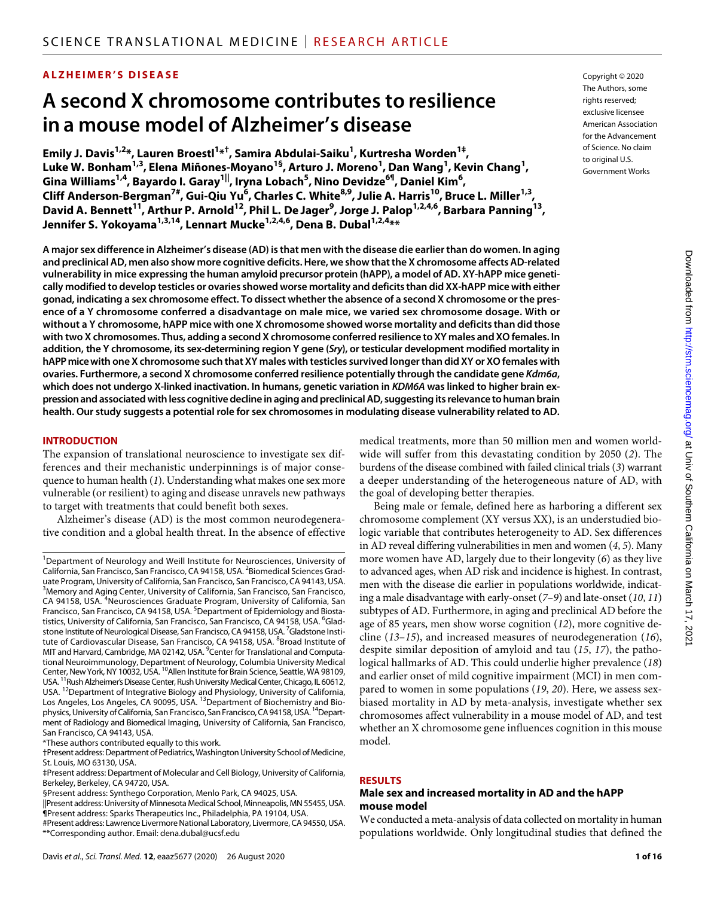# **ALZHEIMER'S DISEASE**

# **A second X chromosome contributes to resilience in a mouse model of Alzheimer's disease**

**Emily J. Davis1,2\*, Lauren Broestl1 \*† , Samira Abdulai-Saiku1 , Kurtresha Worden1‡,**   $\mathsf{Luke\ W.\ B}\text{onham}^{1,3}$ , Elena Miñones-Moyano<sup>1§</sup>, Arturo J. Moreno<sup>1</sup>, Dan Wang<sup>1</sup>, Kevin Chang<sup>1</sup>, **Gina Williams1,4, Bayardo I. Garay1||, Iryna Lobach5 , Nino Devidze6¶, Daniel Kim6 , Cliff Anderson-Bergman7#, Gui-Qiu Yu6 , Charles C. White8,9, Julie A. Harris10, Bruce L. Miller1,3, David A. Bennett11, Arthur P. Arnold12, Phil L. De Jager9 , Jorge J. Palop1,2,4,6, Barbara Panning13, Jennifer S. Yokoyama1,3,14, Lennart Mucke1,2,4,6, Dena B. Dubal1,2,4\*\***

**A major sex difference in Alzheimer's disease (AD) is that men with the disease die earlier than do women. In aging and preclinical AD, men also show more cognitive deficits. Here, we show that the X chromosome affects AD-related vulnerability in mice expressing the human amyloid precursor protein (hAPP), a model of AD. XY-hAPP mice genetically modified to develop testicles or ovaries showed worse mortality and deficits than did XX-hAPP mice with either gonad, indicating a sex chromosome effect. To dissect whether the absence of a second X chromosome or the presence of a Y chromosome conferred a disadvantage on male mice, we varied sex chromosome dosage. With or without a Y chromosome, hAPP mice with one X chromosome showed worse mortality and deficits than did those with two X chromosomes. Thus, adding a second X chromosome conferred resilience to XY males and XO females. In addition, the Y chromosome, its sex-determining region Y gene (***Sry***), or testicular development modified mortality in hAPP mice with one X chromosome such that XY males with testicles survived longer than did XY or XO females with ovaries. Furthermore, a second X chromosome conferred resilience potentially through the candidate gene** *Kdm6a***,**  which does not undergo X-linked inactivation. In humans, genetic variation in *KDM6A* was linked to higher brain ex**pression and associated with less cognitive decline in aging and preclinical AD, suggesting its relevance to human brain health. Our study suggests a potential role for sex chromosomes in modulating disease vulnerability related to AD.**

#### **INTRODUCTION**

The expansion of translational neuroscience to investigate sex differences and their mechanistic underpinnings is of major consequence to human health (*1*). Understanding what makes one sex more vulnerable (or resilient) to aging and disease unravels new pathways to target with treatments that could benefit both sexes.

Alzheimer's disease (AD) is the most common neurodegenerative condition and a global health threat. In the absence of effective

||Present address: University of Minnesota Medical School, Minneapolis, MN 55455, USA. ¶Present address: Sparks Therapeutics Inc., Philadelphia, PA 19104, USA.

Copyright © 2020 The Authors, some rights reserved: exclusive licensee American Association for the Advancement of Science. No claim to original U.S. Government Works

medical treatments, more than 50 million men and women worldwide will suffer from this devastating condition by 2050 (*2*). The burdens of the disease combined with failed clinical trials (*3*) warrant a deeper understanding of the heterogeneous nature of AD, with the goal of developing better therapies.

Being male or female, defined here as harboring a different sex chromosome complement (XY versus XX), is an understudied biologic variable that contributes heterogeneity to AD. Sex differences in AD reveal differing vulnerabilities in men and women (*4*, *5*). Many more women have AD, largely due to their longevity (*6*) as they live to advanced ages, when AD risk and incidence is highest. In contrast, men with the disease die earlier in populations worldwide, indicating a male disadvantage with early-onset (*7*–*9*) and late-onset (*10*, *11*) subtypes of AD. Furthermore, in aging and preclinical AD before the age of 85 years, men show worse cognition (*12*), more cognitive decline (*13*–*15*), and increased measures of neurodegeneration (*16*), despite similar deposition of amyloid and tau (*15*, *17*), the pathological hallmarks of AD. This could underlie higher prevalence (*18*) and earlier onset of mild cognitive impairment (MCI) in men compared to women in some populations (*19*, *20*). Here, we assess sexbiased mortality in AD by meta-analysis, investigate whether sex chromosomes affect vulnerability in a mouse model of AD, and test whether an X chromosome gene influences cognition in this mouse model.

#### **RESULTS**

#### **Male sex and increased mortality in AD and the hAPP mouse model**

We conducted a meta-analysis of data collected on mortality in human populations worldwide. Only longitudinal studies that defined the

<sup>&</sup>lt;sup>1</sup>Department of Neurology and Weill Institute for Neurosciences, University of California, San Francisco, San Francisco, CA 94158, USA. <sup>2</sup> Biomedical Sciences Graduate Program, University of California, San Francisco, San Francisco, CA 94143, USA. <sup>3</sup>Memory and Aging Center, University of California, San Francisco, San Francisco, CA 94158, USA. <sup>4</sup>Neurosciences Graduate Program, University of California, San Francisco, San Francisco, CA 94158, USA. <sup>5</sup>Department of Epidemiology and Biostatistics, University of California, San Francisco, San Francisco, CA 94158, USA. <sup>6</sup>Gladstone Institute of Neurological Disease, San Francisco, CA 94158, USA. <sup>7</sup>Gladstone Institute of Cardiovascular Disease, San Francisco, CA 94158, USA. <sup>8</sup>Broad Institute of MIT and Harvard, Cambridge, MA 02142, USA. <sup>9</sup>Center for Translational and Computational Neuroimmunology, Department of Neurology, Columbia University Medical Center, New York, NY 10032, USA. <sup>10</sup>Allen Institute for Brain Science, Seattle, WA 98109,<br>USA <sup>11</sup> Rush Alzheimer's Disease Center, Rush University Medical Center, Chicago, IL 60612.  $^1$ Rush Alzheimer's Disease Center, Rush University Medical Center, Chicago, IL 60612, USA. 12Department of Integrative Biology and Physiology, University of California, Los Angeles, Los Angeles, CA 90095, USA. <sup>13</sup>Department of Biochemistry and Biophysics, University of California, San Francisco, San Francisco, CA 94158, USA. <sup>14</sup>Department of Radiology and Biomedical Imaging, University of California, San Francisco, San Francisco, CA 94143, USA.

<sup>\*</sup>These authors contributed equally to this work.

<sup>†</sup>Present address: Department of Pediatrics, Washington University School of Medicine, St. Louis, MO 63130, USA.

<sup>‡</sup>Present address: Department of Molecular and Cell Biology, University of California, Berkeley, Berkeley, CA 94720, USA.

<sup>§</sup>Present address: Synthego Corporation, Menlo Park, CA 94025, USA.

<sup>#</sup>Present address: Lawrence Livermore National Laboratory, Livermore, CA 94550, USA. \*\*Corresponding author. Email: dena.dubal@ucsf.edu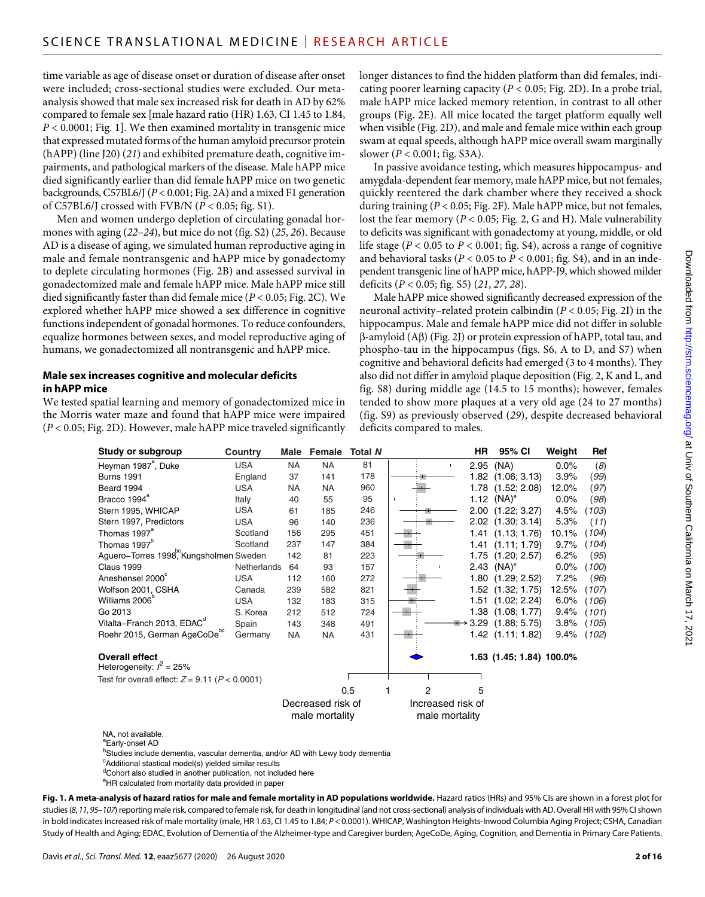time variable as age of disease onset or duration of disease after onset were included; cross-sectional studies were excluded. Our metaanalysis showed that male sex increased risk for death in AD by 62% compared to female sex [male hazard ratio (HR) 1.63, CI 1.45 to 1.84, *P* < 0.0001; Fig. 1]. We then examined mortality in transgenic mice that expressed mutated forms of the human amyloid precursor protein (hAPP) (line J20) (*21*) and exhibited premature death, cognitive impairments, and pathological markers of the disease. Male hAPP mice died significantly earlier than did female hAPP mice on two genetic backgrounds, C57BL6/J (*P* < 0.001; Fig. 2A) and a mixed F1 generation of C57BL6/J crossed with FVB/N (*P* < 0.05; fig. S1).

Men and women undergo depletion of circulating gonadal hormones with aging (*22*–*24*), but mice do not (fig. S2) (*25*, *26*). Because AD is a disease of aging, we simulated human reproductive aging in male and female nontransgenic and hAPP mice by gonadectomy to deplete circulating hormones (Fig. 2B) and assessed survival in gonadectomized male and female hAPP mice. Male hAPP mice still died significantly faster than did female mice (*P* < 0.05; Fig. 2C). We explored whether hAPP mice showed a sex difference in cognitive functions independent of gonadal hormones. To reduce confounders, equalize hormones between sexes, and model reproductive aging of humans, we gonadectomized all nontransgenic and hAPP mice.

# **Male sex increases cognitive and molecular deficits in hAPP mice**

We tested spatial learning and memory of gonadectomized mice in the Morris water maze and found that hAPP mice were impaired (*P* < 0.05; Fig. 2D). However, male hAPP mice traveled significantly longer distances to find the hidden platform than did females, indicating poorer learning capacity ( $P < 0.05$ ; Fig. 2D). In a probe trial, male hAPP mice lacked memory retention, in contrast to all other groups (Fig. 2E). All mice located the target platform equally well when visible (Fig. 2D), and male and female mice within each group swam at equal speeds, although hAPP mice overall swam marginally slower (*P* < 0.001; fig. S3A).

In passive avoidance testing, which measures hippocampus- and amygdala-dependent fear memory, male hAPP mice, but not females, quickly reentered the dark chamber where they received a shock during training (*P* < 0.05; Fig. 2F). Male hAPP mice, but not females, lost the fear memory ( $P < 0.05$ ; Fig. 2, G and H). Male vulnerability to deficits was significant with gonadectomy at young, middle, or old life stage ( $P < 0.05$  to  $P < 0.001$ ; fig. S4), across a range of cognitive and behavioral tasks ( $P < 0.05$  to  $P < 0.001$ ; fig. S4), and in an independent transgenic line of hAPP mice, hAPP-J9, which showed milder deficits (*P* < 0.05; fig. S5) (*21*, *27*, *28*).

Male hAPP mice showed significantly decreased expression of the neuronal activity–related protein calbindin (*P* < 0.05; Fig. 2I) in the hippocampus. Male and female hAPP mice did not differ in soluble  $\beta$ -amyloid (A $\beta$ ) (Fig. 2J) or protein expression of hAPP, total tau, and phospho-tau in the hippocampus (figs. S6, A to D, and S7) when cognitive and behavioral deficits had emerged (3 to 4 months). They also did not differ in amyloid plaque deposition (Fig. 2, K and L, and fig. S8) during middle age (14.5 to 15 months); however, females tended to show more plaques at a very old age (24 to 27 months) (fig. S9) as previously observed (*29*), despite decreased behavioral deficits compared to males.

| Study or subgroup                                    | Country            | Male                                | Female    | <b>Total N</b> |                                     | HR                    | 95% CI                   | Weight | Ref   |
|------------------------------------------------------|--------------------|-------------------------------------|-----------|----------------|-------------------------------------|-----------------------|--------------------------|--------|-------|
| Heyman 1987 <sup>ª</sup> , Duke                      | <b>USA</b>         | <b>NA</b>                           | <b>NA</b> | 81             | $\mathbf{I}$                        | 2.95                  | (NA)                     | 0.0%   | (8)   |
| <b>Burns 1991</b>                                    | England            | 37                                  | 141       | 178            |                                     | 1.82                  | (1.06; 3.13)             | 3.9%   | (99)  |
| Beard 1994                                           | <b>USA</b>         | <b>NA</b>                           | <b>NA</b> | 960            |                                     | 1.78                  | (1.52; 2.08)             | 12.0%  | (97)  |
| Bracco 1994 <sup>ª</sup>                             | Italy              | 40                                  | 55        | 95             | $\blacksquare$                      | 1.12                  | $(NA)^e$                 | 0.0%   | (98)  |
| Stern 1995, WHICAP                                   | <b>USA</b>         | 61                                  | 185       | 246            |                                     | 2.00                  | (1.22; 3.27)             | 4.5%   | (103) |
| Stern 1997, Predictors                               | <b>USA</b>         | 96                                  | 140       | 236            |                                     | 2.02                  | (1.30; 3.14)             | 5.3%   | (11)  |
| Thomas 1997 <sup>ª</sup>                             | Scotland           | 156                                 | 295       | 451            |                                     |                       | $1.41$ $(1.13; 1.76)$    | 10.1%  | (104) |
| Thomas 1997 <sup>b</sup>                             | Scotland           | 237                                 | 147       | 384            |                                     |                       | $1.41$ $(1.11; 1.79)$    | 9.7%   | (104) |
| Aguero-Torres 1998, Kungsholmen Sweden               |                    | 142                                 | 81        | 223            |                                     | 1.75                  | (1.20; 2.57)             | 6.2%   | (95)  |
| Claus 1999                                           | <b>Netherlands</b> | 64                                  | 93        | 157            |                                     | 2.43                  | $(NA)^e$                 | 0.0%   | (100) |
| Aneshensel 2000                                      | <b>USA</b>         | 112                                 | 160       | 272            |                                     | 1.80                  | (1.29; 2.52)             | 7.2%   | (96)  |
| Wolfson 2001, CSHA                                   | Canada             | 239                                 | 582       | 821            |                                     | 1.52                  | (1.32; 1.75)             | 12.5%  | (107) |
| Williams 2006 <sup>°</sup>                           | <b>USA</b>         | 132                                 | 183       | 315            |                                     | 1.51                  | (1.02; 2.24)             | 6.0%   | (106) |
| Go 2013                                              | S. Korea           | 212                                 | 512       | 724            |                                     | 1.38                  | (1.08; 1.77)             | 9.4%   | (101) |
| Vilalta-Franch 2013, EDAC <sup>a</sup>               | Spain              | 143                                 | 348       | 491            |                                     | 3.29<br>$\rightarrow$ | (1.88; 5.75)             | 3.8%   | (105) |
| Roehr 2015, German AgeCoDebc                         | Germany            | <b>NA</b>                           | <b>NA</b> | 431            |                                     |                       | $1.42$ $(1.11; 1.82)$    | 9.4%   | (102) |
| <b>Overall effect</b><br>Heterogeneity: $I^2 = 25\%$ |                    |                                     |           |                |                                     |                       | 1.63 (1.45; 1.84) 100.0% |        |       |
| Test for overall effect: $Z = 9.11$ ( $P < 0.0001$ ) |                    |                                     |           |                |                                     |                       |                          |        |       |
|                                                      |                    |                                     |           | 0.5            | 2                                   | 5                     |                          |        |       |
|                                                      |                    | Decreased risk of<br>male mortality |           |                | Increased risk of<br>male mortality |                       |                          |        |       |

NA, not available.

aEarly-onset AD

<sup>b</sup>Studies include dementia, vascular dementia, and/or AD with Lewy body dementia

<sup>c</sup>Additional stastical model(s) yielded similar results

<sup>d</sup>Cohort also studied in another publication, not included here

eHR calculated from mortality data provided in paper

**Fig. 1. A meta-analysis of hazard ratios for male and female mortality in AD populations worldwide.** Hazard ratios (HRs) and 95% CIs are shown in a forest plot for studies (*8*,*11*,*95*–*107*) reporting male risk, compared to female risk, for death in longitudinal (and not cross-sectional) analysis of individuals with AD.Overall HR with 95% CI shown in bold indicates increased risk of male mortality (male, HR 1.63, CI 1.45 to 1.84; *P* < 0.0001). WHICAP, Washington Heights-Inwood Columbia Aging Project; CSHA, Canadian Study of Health and Aging; EDAC, Evolution of Dementia of the Alzheimer-type and Caregiver burden; AgeCoDe, Aging, Cognition, and Dementia in Primary Care Patients.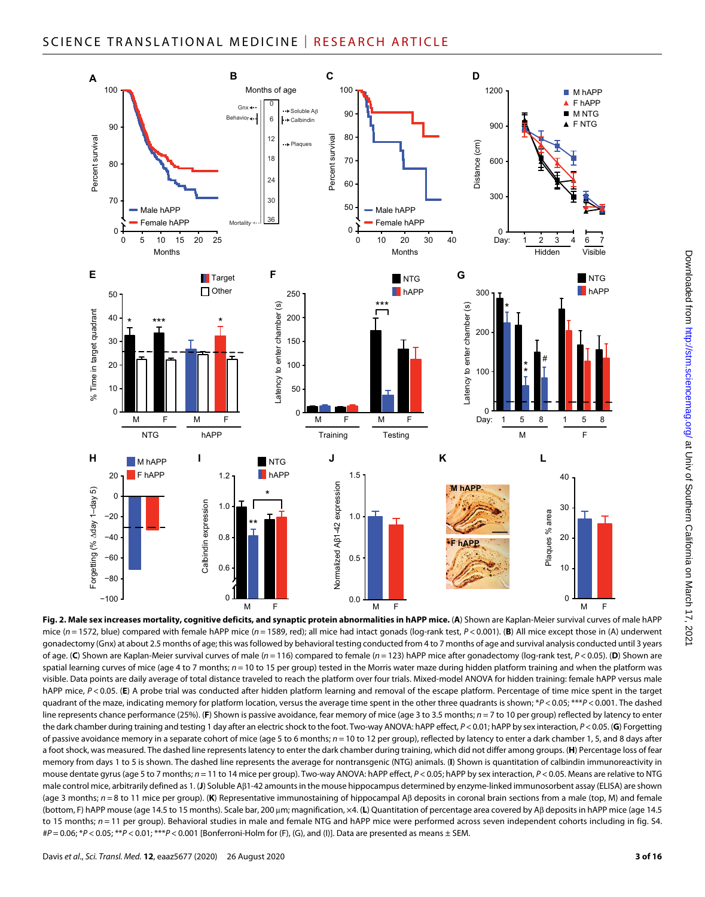

**Fig. 2. Male sex increases mortality, cognitive deficits, and synaptic protein abnormalities in hAPP mice.** (**A**) Shown are Kaplan-Meier survival curves of male hAPP mice ( $n = 1572$ , blue) compared with female hAPP mice ( $n = 1589$ , red); all mice had intact gonads (log-rank test,  $P < 0.001$ ). (B) All mice except those in (A) underwent gonadectomy (Gnx) at about 2.5 months of age; this was followed by behavioral testing conducted from 4 to 7 months of age and survival analysis conducted until 3 years of age. (C) Shown are Kaplan-Meier survival curves of male ( $n = 116$ ) compared to female ( $n = 123$ ) hAPP mice after gonadectomy (log-rank test,  $P < 0.05$ ). (D) Shown are spatial learning curves of mice (age 4 to 7 months;  $n = 10$  to 15 per group) tested in the Morris water maze during hidden platform training and when the platform was visible. Data points are daily average of total distance traveled to reach the platform over four trials. Mixed-model ANOVA for hidden training: female hAPP versus male hAPP mice,  $P < 0.05$ . (E) A probe trial was conducted after hidden platform learning and removal of the escape platform. Percentage of time mice spent in the target quadrant of the maze, indicating memory for platform location, versus the average time spent in the other three quadrants is shown; \**P* < 0.05; \*\*\**P* < 0.001. The dashed line represents chance performance (25%). (**F**) Shown is passive avoidance, fear memory of mice (age 3 to 3.5 months; *n* = 7 to 10 per group) reflected by latency to enter the dark chamber during training and testing 1 day after an electric shock to the foot. Two-way ANOVA: hAPP effect, *P*<0.01; hAPP by sex interaction, *P*<0.05. (**G**) Forgetting of passive avoidance memory in a separate cohort of mice (age 5 to 6 months; *n* = 10 to 12 per group), reflected by latency to enter a dark chamber 1, 5, and 8 days after a foot shock, was measured. The dashed line represents latency to enter the dark chamber during training, which did not differ among groups. (**H**) Percentage loss of fear memory from days 1 to 5 is shown. The dashed line represents the average for nontransgenic (NTG) animals. (**I**) Shown is quantitation of calbindin immunoreactivity in mouse dentate gyrus (age 5 to 7 months;  $n = 11$  to 14 mice per group). Two-way ANOVA: hAPP effect,  $P < 0.05$ ; hAPP by sex interaction,  $P < 0.05$ . Means are relative to NTG male control mice, arbitrarily defined as 1. (**J**) Soluble A1-42 amounts in the mouse hippocampus determined by enzyme-linked immunosorbent assay (ELISA) are shown (age 3 months; *n* = 8 to 11 mice per group). (**K**) Representative immunostaining of hippocampal Aβ deposits in coronal brain sections from a male (top, M) and female (bottom, F) hAPP mouse (age 14.5 to 15 months). Scale bar, 200 μm; magnification, x4. (L) Quantitation of percentage area covered by Αβ deposits in hAPP mice (age 14.5 to 15 months;  $n = 11$  per group). Behavioral studies in male and female NTG and hAPP mice were performed across seven independent cohorts including in fig. S4. #*P* = 0.06; \**P* < 0.05; \*\**P* < 0.01; \*\*\**P* < 0.001 [Bonferroni-Holm for (F), (G), and (I)]. Data are presented as means ± SEM.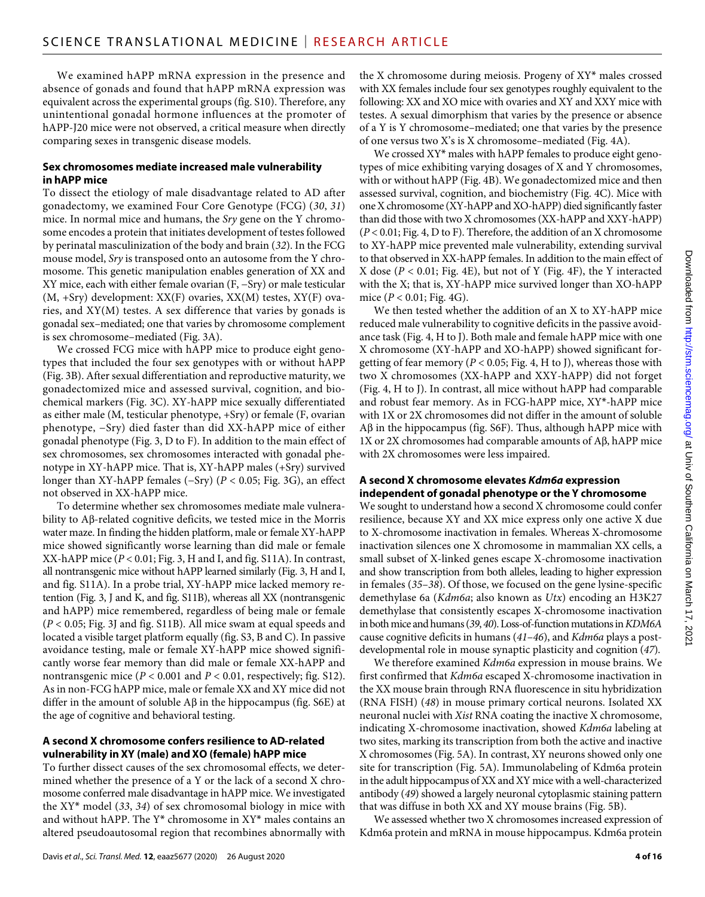We examined hAPP mRNA expression in the presence and absence of gonads and found that hAPP mRNA expression was equivalent across the experimental groups (fig. S10). Therefore, any unintentional gonadal hormone influences at the promoter of hAPP-J20 mice were not observed, a critical measure when directly comparing sexes in transgenic disease models.

# **Sex chromosomes mediate increased male vulnerability in hAPP mice**

To dissect the etiology of male disadvantage related to AD after gonadectomy, we examined Four Core Genotype (FCG) (*30*, *31*) mice. In normal mice and humans, the *Sry* gene on the Y chromosome encodes a protein that initiates development of testes followed by perinatal masculinization of the body and brain (*32*). In the FCG mouse model, *Sry* is transposed onto an autosome from the Y chromosome. This genetic manipulation enables generation of XX and XY mice, each with either female ovarian (F, −Sry) or male testicular (M, +Sry) development: XX(F) ovaries, XX(M) testes, XY(F) ovaries, and XY(M) testes. A sex difference that varies by gonads is gonadal sex–mediated; one that varies by chromosome complement is sex chromosome–mediated (Fig. 3A).

We crossed FCG mice with hAPP mice to produce eight genotypes that included the four sex genotypes with or without hAPP (Fig. 3B). After sexual differentiation and reproductive maturity, we gonadectomized mice and assessed survival, cognition, and biochemical markers (Fig. 3C). XY-hAPP mice sexually differentiated as either male (M, testicular phenotype, +Sry) or female (F, ovarian phenotype, −Sry) died faster than did XX-hAPP mice of either gonadal phenotype (Fig. 3, D to F). In addition to the main effect of sex chromosomes, sex chromosomes interacted with gonadal phenotype in XY-hAPP mice. That is, XY-hAPP males (+Sry) survived longer than XY-hAPP females (−Sry) (*P* < 0.05; Fig. 3G), an effect not observed in XX-hAPP mice.

To determine whether sex chromosomes mediate male vulnerability to  $A\beta$ -related cognitive deficits, we tested mice in the Morris water maze. In finding the hidden platform, male or female XY-hAPP mice showed significantly worse learning than did male or female XX-hAPP mice (*P* < 0.01; Fig. 3, H and I, and fig. S11A). In contrast, all nontransgenic mice without hAPP learned similarly (Fig. 3, H and I, and fig. S11A). In a probe trial, XY-hAPP mice lacked memory retention (Fig. 3, J and K, and fig. S11B), whereas all XX (nontransgenic and hAPP) mice remembered, regardless of being male or female (*P* < 0.05; Fig. 3J and fig. S11B). All mice swam at equal speeds and located a visible target platform equally (fig. S3, B and C). In passive avoidance testing, male or female XY-hAPP mice showed significantly worse fear memory than did male or female XX-hAPP and nontransgenic mice ( $P < 0.001$  and  $P < 0.01$ , respectively; fig. S12). As in non-FCG hAPP mice, male or female XX and XY mice did not differ in the amount of soluble  $\mathbf{A}\beta$  in the hippocampus (fig. S6E) at the age of cognitive and behavioral testing.

# **A second X chromosome confers resilience to AD-related vulnerability in XY (male) and XO (female) hAPP mice**

To further dissect causes of the sex chromosomal effects, we determined whether the presence of a Y or the lack of a second X chromosome conferred male disadvantage in hAPP mice. We investigated the XY\* model (*33*, *34*) of sex chromosomal biology in mice with and without hAPP. The Y\* chromosome in XY\* males contains an altered pseudoautosomal region that recombines abnormally with

Davis *et al*., *Sci. Transl. Med.* **12**, eaaz5677 (2020) 26 August 2020

the X chromosome during meiosis. Progeny of XY\* males crossed with XX females include four sex genotypes roughly equivalent to the following: XX and XO mice with ovaries and XY and XXY mice with testes. A sexual dimorphism that varies by the presence or absence of a Y is Y chromosome–mediated; one that varies by the presence of one versus two X's is X chromosome–mediated (Fig. 4A).

We crossed XY\* males with hAPP females to produce eight genotypes of mice exhibiting varying dosages of X and Y chromosomes, with or without hAPP (Fig. 4B). We gonadectomized mice and then assessed survival, cognition, and biochemistry (Fig. 4C). Mice with one X chromosome (XY-hAPP and XO-hAPP) died significantly faster than did those with two X chromosomes (XX-hAPP and XXY-hAPP) (*P* < 0.01; Fig. 4, D to F). Therefore, the addition of an X chromosome to XY-hAPP mice prevented male vulnerability, extending survival to that observed in XX-hAPP females. In addition to the main effect of X dose  $(P < 0.01$ ; Fig. 4E), but not of Y (Fig. 4F), the Y interacted with the X; that is, XY-hAPP mice survived longer than XO-hAPP mice (*P* < 0.01; Fig. 4G).

We then tested whether the addition of an X to XY-hAPP mice reduced male vulnerability to cognitive deficits in the passive avoidance task (Fig. 4, H to J). Both male and female hAPP mice with one X chromosome (XY-hAPP and XO-hAPP) showed significant forgetting of fear memory ( $P < 0.05$ ; Fig. 4, H to J), whereas those with two X chromosomes (XX-hAPP and XXY-hAPP) did not forget (Fig. 4, H to J). In contrast, all mice without hAPP had comparable and robust fear memory. As in FCG-hAPP mice, XY\*-hAPP mice with 1X or 2X chromosomes did not differ in the amount of soluble  $A\beta$  in the hippocampus (fig. S6F). Thus, although hAPP mice with  $1X$  or  $2X$  chromosomes had comparable amounts of A $\beta$ , hAPP mice with 2X chromosomes were less impaired.

#### **A second X chromosome elevates** *Kdm6a* **expression independent of gonadal phenotype or the Y chromosome**

We sought to understand how a second X chromosome could confer resilience, because XY and XX mice express only one active X due to X-chromosome inactivation in females. Whereas X-chromosome inactivation silences one X chromosome in mammalian XX cells, a small subset of X-linked genes escape X-chromosome inactivation and show transcription from both alleles, leading to higher expression in females (*35*–*38*). Of those, we focused on the gene lysine-specific demethylase 6a (*Kdm6a*; also known as *Utx*) encoding an H3K27 demethylase that consistently escapes X-chromosome inactivation in both mice and humans (*39*, *40*). Loss-of-function mutations in *KDM6A* cause cognitive deficits in humans (*41*–*46*), and *Kdm6a* plays a postdevelopmental role in mouse synaptic plasticity and cognition (*47*).

We therefore examined *Kdm6a* expression in mouse brains. We first confirmed that *Kdm6a* escaped X-chromosome inactivation in the XX mouse brain through RNA fluorescence in situ hybridization (RNA FISH) (*48*) in mouse primary cortical neurons. Isolated XX neuronal nuclei with *Xist* RNA coating the inactive X chromosome, indicating X-chromosome inactivation, showed *Kdm6a* labeling at two sites, marking its transcription from both the active and inactive X chromosomes (Fig. 5A). In contrast, XY neurons showed only one site for transcription (Fig. 5A). Immunolabeling of Kdm6a protein in the adult hippocampus of XX and XY mice with a well-characterized antibody (*49*) showed a largely neuronal cytoplasmic staining pattern that was diffuse in both XX and XY mouse brains (Fig. 5B).

We assessed whether two X chromosomes increased expression of Kdm6a protein and mRNA in mouse hippocampus. Kdm6a protein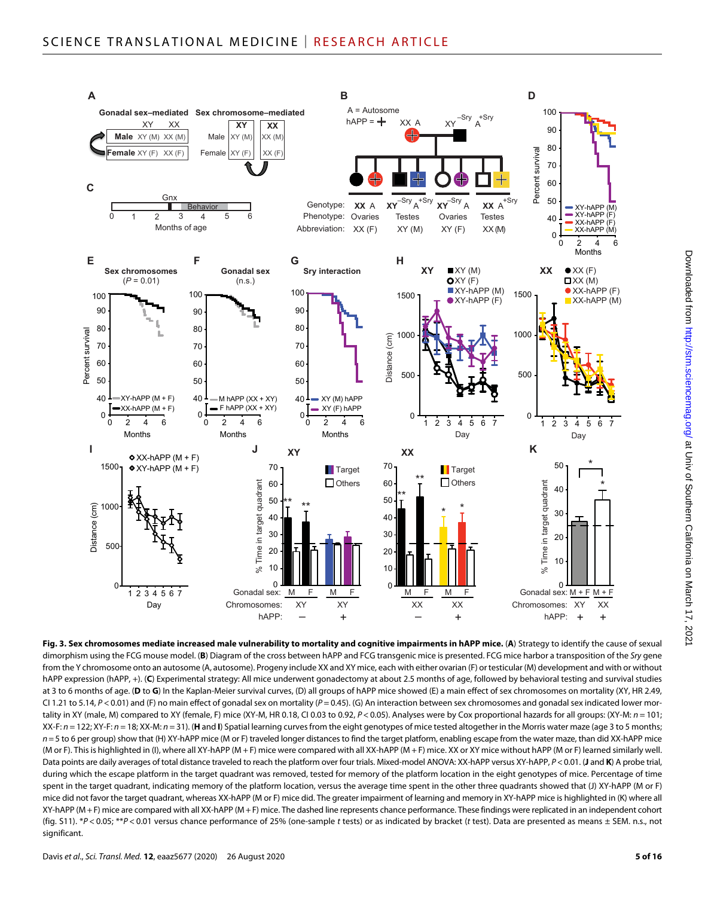

**Fig. 3. Sex chromosomes mediate increased male vulnerability to mortality and cognitive impairments in hAPP mice.** (**A**) Strategy to identify the cause of sexual dimorphism using the FCG mouse model. (**B**) Diagram of the cross between hAPP and FCG transgenic mice is presented. FCG mice harbor a transposition of the *Sry* gene from the Y chromosome onto an autosome (A, autosome). Progeny include XX and XY mice, each with either ovarian (F) or testicular (M) development and with or without hAPP expression (hAPP, +). (**C**) Experimental strategy: All mice underwent gonadectomy at about 2.5 months of age, followed by behavioral testing and survival studies at 3 to 6 months of age. (**D** to **G**) In the Kaplan-Meier survival curves, (D) all groups of hAPP mice showed (E) a main effect of sex chromosomes on mortality (XY, HR 2.49, CI 1.21 to 5.14, *P* < 0.01) and (F) no main effect of gonadal sex on mortality (*P* = 0.45). (G) An interaction between sex chromosomes and gonadal sex indicated lower mortality in XY (male, M) compared to XY (female, F) mice (XY-M, HR 0.18, CI 0.03 to 0.92, *P* < 0.05). Analyses were by Cox proportional hazards for all groups: (XY-M: *n* = 101;  $XX-F: n = 122; XY-F: n = 18; XX-M: n = 31$ . (H and I) Spatial learning curves from the eight genotypes of mice tested altogether in the Morris water maze (age 3 to 5 months;  $n=5$  to 6 per group) show that (H) XY-hAPP mice (M or F) traveled longer distances to find the target platform, enabling escape from the water maze, than did XX-hAPP mice (M or F). This is highlighted in (I), where all XY-hAPP (M + F) mice were compared with all XX-hAPP (M + F) mice. XX or XY mice without hAPP (M or F) learned similarly well. Data points are daily averages of total distance traveled to reach the platform over four trials. Mixed-model ANOVA: XX-hAPP versus XY-hAPP, *P*<0.01. (**J** and **K**) A probe trial, during which the escape platform in the target quadrant was removed, tested for memory of the platform location in the eight genotypes of mice. Percentage of time spent in the target quadrant, indicating memory of the platform location, versus the average time spent in the other three quadrants showed that (J) XY-hAPP (M or F) mice did not favor the target quadrant, whereas XX-hAPP (M or F) mice did. The greater impairment of learning and memory in XY-hAPP mice is highlighted in (K) where all XY-hAPP (M +F) mice are compared with all XX-hAPP (M +F) mice. The dashed line represents chance performance. These findings were replicated in an independent cohort (fig. S11). \**P* < 0.05; \*\**P* < 0.01 versus chance performance of 25% (one-sample *t* tests) or as indicated by bracket (*t* test). Data are presented as means ± SEM. n.s., not significant.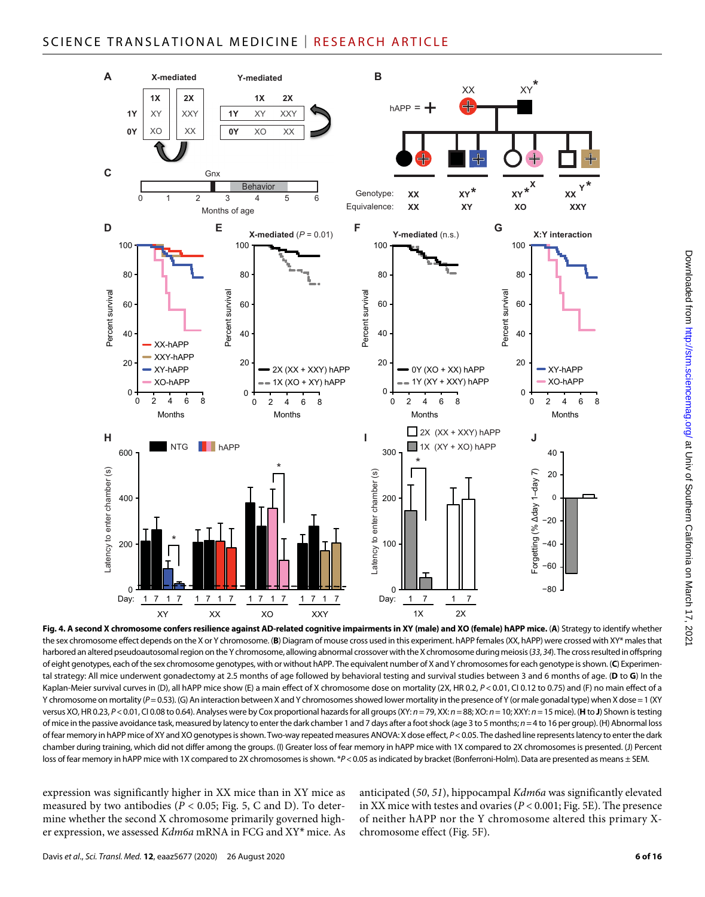

Downloaded from http://stm.sciencemag.org/ at Univ of Southern California on March 17, 202  $\log$  University  $\frac{1}{2}$  and  $\frac{1}{2}$  and  $\frac{1}{2}$  and  $\frac{1}{2}$  and  $\frac{1}{2}$  and  $\frac{1}{2}$  and  $\frac{1}{2}$  and  $\frac{1}{2}$  and  $\frac{1}{2}$  and  $\frac{1}{2}$  and  $\frac{1}{2}$  and  $\frac{1}{2}$  and  $\frac{1}{2}$  and  $\frac{1}{2}$  and  $\frac{1}{2}$ 

**Fig. 4. A second X chromosome confers resilience against AD-related cognitive impairments in XY (male) and XO (female) hAPP mice.** (**A**) Strategy to identify whether the sex chromosome effect depends on the X or Y chromosome. (**B**) Diagram of mouse cross used in this experiment. hAPP females (XX, hAPP) were crossed with XY\* males that harbored an altered pseudoautosomal region on the Y chromosome, allowing abnormal crossover with the X chromosome during meiosis (*33*, *34*). The cross resulted in offspring of eight genotypes, each of the sex chromosome genotypes, with or without hAPP. The equivalent number of X and Y chromosomes for each genotype is shown. (**C**) Experimental strategy: All mice underwent gonadectomy at 2.5 months of age followed by behavioral testing and survival studies between 3 and 6 months of age. (**D** to **G**) In the Kaplan-Meier survival curves in (D), all hAPP mice show (E) a main effect of X chromosome dose on mortality (2X, HR 0.2,  $P < 0.01$ , CI 0.12 to 0.75) and (F) no main effect of a Y chromosome on mortality (*P*=0.53). (G) An interaction between X and Y chromosomes showed lower mortality in the presence of Y (or male gonadal type) when X dose = 1 (XY versus XO, HR 0.23, P < 0.01, CI 0.08 to 0.64). Analyses were by Cox proportional hazards for all groups (XY: n = 79, XX: n = 88; XO: n = 10; XXY: n = 15 mice). (H to J) Shown is testing of mice in the passive avoidance task, measured by latency to enter the dark chamber 1 and 7 days after a foot shock (age 3 to 5 months; *n*=4 to 16 per group). (H) Abnormal loss of fear memory in hAPP mice of XY and XO genotypes is shown. Two-way repeated measures ANOVA: X dose effect, *P*<0.05. The dashed line represents latency to enter the dark chamber during training, which did not differ among the groups. (I) Greater loss of fear memory in hAPP mice with 1X compared to 2X chromosomes is presented. (J) Percent loss of fear memory in hAPP mice with 1X compared to 2X chromosomes is shown. \*P<0.05 as indicated by bracket (Bonferroni-Holm). Data are presented as means ± SEM.

expression was significantly higher in XX mice than in XY mice as measured by two antibodies ( $P < 0.05$ ; Fig. 5, C and D). To determine whether the second X chromosome primarily governed higher expression, we assessed *Kdm6a* mRNA in FCG and XY\* mice. As anticipated (*50*, *51*), hippocampal *Kdm6a* was significantly elevated in XX mice with testes and ovaries (*P* < 0.001; Fig. 5E). The presence of neither hAPP nor the Y chromosome altered this primary Xchromosome effect (Fig. 5F).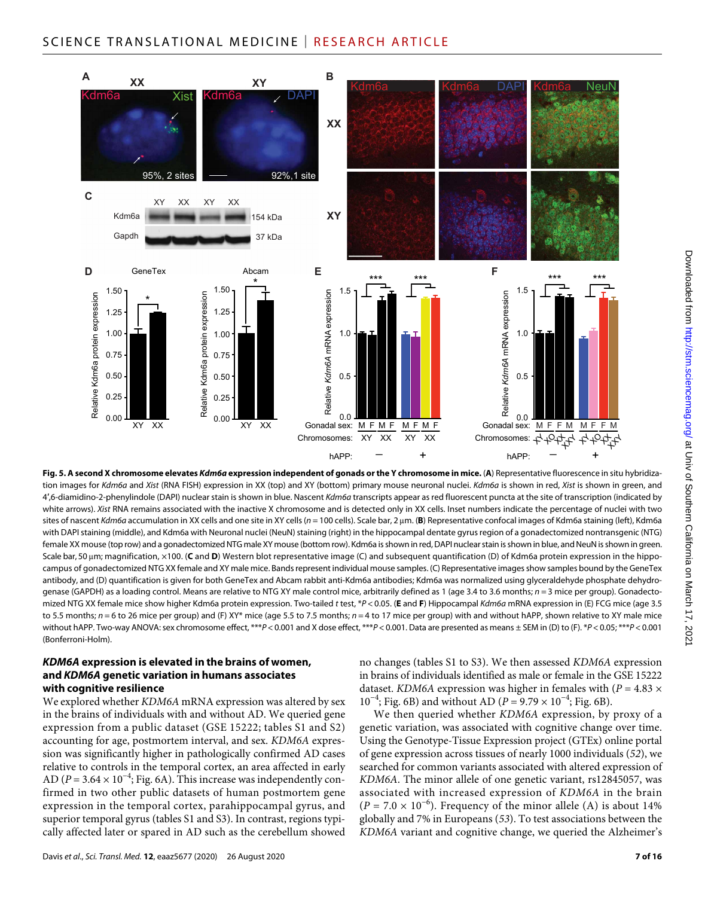

**Fig. 5. A second X chromosome elevates** *Kdm6a* **expression independent of gonads or the Y chromosome in mice.** (**A**) Representative fluorescence in situ hybridization images for *Kdm6a* and *Xist* (RNA FISH) expression in XX (top) and XY (bottom) primary mouse neuronal nuclei. *Kdm6a* is shown in red, *Xist* is shown in green, and 4′,6-diamidino-2-phenylindole (DAPI) nuclear stain is shown in blue. Nascent *Kdm6a* transcripts appear as red fluorescent puncta at the site of transcription (indicated by white arrows). *Xist* RNA remains associated with the inactive X chromosome and is detected only in XX cells. Inset numbers indicate the percentage of nuclei with two sites of nascent *Kdm6a* accumulation in XX cells and one site in XY cells (*n* = 100 cells). Scale bar, 2 µm. (B) Representative confocal images of Kdm6a staining (left), Kdm6a with DAPI staining (middle), and Kdm6a with Neuronal nuclei (NeuN) staining (right) in the hippocampal dentate gyrus region of a gonadectomized nontransgenic (NTG) female XX mouse (top row) and a gonadectomized NTG male XY mouse (bottom row). Kdm6a is shown in red, DAPI nuclear stain is shown in blue, and NeuN is shown in green. Scale bar, 50 µm; magnification, ×100. (C and D) Western blot representative image (C) and subsequent quantification (D) of Kdm6a protein expression in the hippocampus of gonadectomized NTG XX female and XY male mice. Bands represent individual mouse samples. (C) Representative images show samples bound by the GeneTex antibody, and (D) quantification is given for both GeneTex and Abcam rabbit anti-Kdm6a antibodies; Kdm6a was normalized using glyceraldehyde phosphate dehydrogenase (GAPDH) as a loading control. Means are relative to NTG XY male control mice, arbitrarily defined as 1 (age 3.4 to 3.6 months; *n* = 3 mice per group). Gonadectomized NTG XX female mice show higher Kdm6a protein expression. Two-tailed *t* test, \**P* < 0.05. (**E** and **F**) Hippocampal *Kdm6a* mRNA expression in (E) FCG mice (age 3.5 to 5.5 months; *n* = 6 to 26 mice per group) and (F) XY\* mice (age 5.5 to 7.5 months; *n* = 4 to 17 mice per group) with and without hAPP, shown relative to XY male mice without hAPP. Two-way ANOVA: sex chromosome effect, \*\*\**P* < 0.001 and X dose effect, \*\*\**P* < 0.001. Data are presented as means ± SEM in (D) to (F). \**P* < 0.05; \*\*\**P* < 0.001 (Bonferroni-Holm).

# *KDM6A* **expression is elevated in the brains of women, and** *KDM6A* **genetic variation in humans associates with cognitive resilience**

We explored whether *KDM6A* mRNA expression was altered by sex in the brains of individuals with and without AD. We queried gene expression from a public dataset (GSE 15222; tables S1 and S2) accounting for age, postmortem interval, and sex. *KDM6A* expression was significantly higher in pathologically confirmed AD cases relative to controls in the temporal cortex, an area affected in early AD ( $P = 3.64 \times 10^{-4}$ ; Fig. 6A). This increase was independently confirmed in two other public datasets of human postmortem gene expression in the temporal cortex, parahippocampal gyrus, and superior temporal gyrus (tables S1 and S3). In contrast, regions typically affected later or spared in AD such as the cerebellum showed

no changes (tables S1 to S3). We then assessed *KDM6A* expression in brains of individuals identified as male or female in the GSE 15222 dataset. *KDM6A* expression was higher in females with ( $P = 4.83 \times$  $10^{-4}$ ; Fig. 6B) and without AD (*P* = 9.79 ×  $10^{-4}$ ; Fig. 6B).

We then queried whether *KDM6A* expression, by proxy of a genetic variation, was associated with cognitive change over time. Using the Genotype-Tissue Expression project (GTEx) online portal of gene expression across tissues of nearly 1000 individuals (*52*), we searched for common variants associated with altered expression of *KDM6A*. The minor allele of one genetic variant, rs12845057, was associated with increased expression of *KDM6A* in the brain  $(P = 7.0 \times 10^{-6})$ . Frequency of the minor allele (A) is about 14% globally and 7% in Europeans (*53*). To test associations between the *KDM6A* variant and cognitive change, we queried the Alzheimer's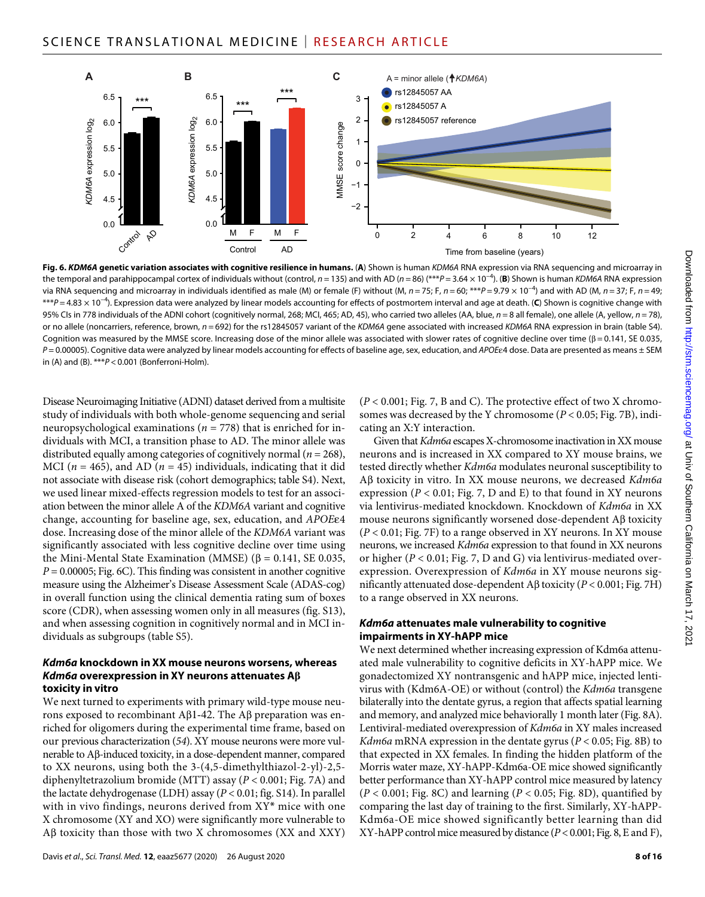

**Fig. 6.** *KDM6A* **genetic variation associates with cognitive resilience in humans.** (**A**) Shown is human *KDM6A* RNA expression via RNA sequencing and microarray in the temporal and parahippocampal cortex of individuals without (control, *n* = 135) and with AD (*n* = 86) (\*\*\**P* = 3.64 × 10−4). (**B**) Shown is human *KDM6A* RNA expression via RNA sequencing and microarray in individuals identified as male (M) or female (F) without (M, *n* = 75; F, *n* = 60; \*\*\**P* = 9.79 × 10−4) and with AD (M, *n* = 37; F, *n* = 49; \*\*\**P* = 4.83 × 10−4). Expression data were analyzed by linear models accounting for effects of postmortem interval and age at death. (**C**) Shown is cognitive change with 95% CIs in 778 individuals of the ADNI cohort (cognitively normal, 268; MCI, 465; AD, 45), who carried two alleles (AA, blue, *n* = 8 all female), one allele (A, yellow, *n* = 78), or no allele (noncarriers, reference, brown, *n* = 692) for the rs12845057 variant of the *KDM6A* gene associated with increased *KDM6A* RNA expression in brain (table S4). Cognition was measured by the MMSE score. Increasing dose of the minor allele was associated with slower rates of cognitive decline over time ( $\beta$  = 0.141, SE 0.035, *P* = 0.00005). Cognitive data were analyzed by linear models accounting for effects of baseline age, sex, education, and *APOE*4 dose. Data are presented as means ± SEM in (A) and (B). \*\*\**P* < 0.001 (Bonferroni-Holm).

Disease Neuroimaging Initiative (ADNI) dataset derived from a multisite study of individuals with both whole-genome sequencing and serial neuropsychological examinations (*n* = 778) that is enriched for individuals with MCI, a transition phase to AD. The minor allele was distributed equally among categories of cognitively normal (*n* = 268), MCI ( $n = 465$ ), and AD ( $n = 45$ ) individuals, indicating that it did not associate with disease risk (cohort demographics; table S4). Next, we used linear mixed-effects regression models to test for an association between the minor allele A of the *KDM6A* variant and cognitive change, accounting for baseline age, sex, education, and *APOE*4 dose. Increasing dose of the minor allele of the *KDM6A* variant was significantly associated with less cognitive decline over time using the Mini-Mental State Examination (MMSE) ( $\beta$  = 0.141, SE 0.035,  $P = 0.00005$ ; Fig. 6C). This finding was consistent in another cognitive measure using the Alzheimer's Disease Assessment Scale (ADAS-cog) in overall function using the clinical dementia rating sum of boxes score (CDR), when assessing women only in all measures (fig. S13), and when assessing cognition in cognitively normal and in MCI individuals as subgroups (table S5).

#### *Kdm6a* **knockdown in XX mouse neurons worsens, whereas**  *Kdm6a* **overexpression in XY neurons attenuates A toxicity in vitro**

We next turned to experiments with primary wild-type mouse neurons exposed to recombinant A $\beta$ 1-42. The A $\beta$  preparation was enriched for oligomers during the experimental time frame, based on our previous characterization (*54*). XY mouse neurons were more vulnerable to Aß-induced toxicity, in a dose-dependent manner, compared to XX neurons, using both the 3-(4,5-dimethylthiazol-2-yl)-2,5 diphenyltetrazolium bromide (MTT) assay (*P* < 0.001; Fig. 7A) and the lactate dehydrogenase (LDH) assay (*P* < 0.01; fig. S14). In parallel with in vivo findings, neurons derived from XY\* mice with one X chromosome (XY and XO) were significantly more vulnerable to  $A\beta$  toxicity than those with two X chromosomes (XX and XXY)

 $(P < 0.001; Fig. 7, B and C)$ . The protective effect of two X chromosomes was decreased by the Y chromosome (*P* < 0.05; Fig. 7B), indicating an X:Y interaction.

Given that *Kdm6a* escapes X-chromosome inactivation in XX mouse neurons and is increased in XX compared to XY mouse brains, we tested directly whether *Kdm6a* modulates neuronal susceptibility to A toxicity in vitro. In XX mouse neurons, we decreased *Kdm6a* expression ( $P < 0.01$ ; Fig. 7, D and E) to that found in XY neurons via lentivirus-mediated knockdown. Knockdown of *Kdm6a* in XX mouse neurons significantly worsened dose-dependent  $\mathbf{A}\boldsymbol{\beta}$  toxicity (*P* < 0.01; Fig. 7F) to a range observed in XY neurons. In XY mouse neurons, we increased *Kdm6a* expression to that found in XX neurons or higher (*P* < 0.01; Fig. 7, D and G) via lentivirus-mediated overexpression. Overexpression of *Kdm6a* in XY mouse neurons significantly attenuated dose-dependent  $\text{A}\beta$  toxicity ( $P < 0.001$ ; Fig. 7H) to a range observed in XX neurons.

# *Kdm6a* **attenuates male vulnerability to cognitive impairments in XY-hAPP mice**

We next determined whether increasing expression of Kdm6a attenuated male vulnerability to cognitive deficits in XY-hAPP mice. We gonadectomized XY nontransgenic and hAPP mice, injected lentivirus with (Kdm6A-OE) or without (control) the *Kdm6a* transgene bilaterally into the dentate gyrus, a region that affects spatial learning and memory, and analyzed mice behaviorally 1 month later (Fig. 8A). Lentiviral-mediated overexpression of *Kdm6a* in XY males increased *Kdm6a* mRNA expression in the dentate gyrus (*P* < 0.05; Fig. 8B) to that expected in XX females. In finding the hidden platform of the Morris water maze, XY-hAPP-Kdm6a-OE mice showed significantly better performance than XY-hAPP control mice measured by latency  $(P < 0.001$ ; Fig. 8C) and learning  $(P < 0.05$ ; Fig. 8D), quantified by comparing the last day of training to the first. Similarly, XY-hAPP-Kdm6a-OE mice showed significantly better learning than did XY-hAPP control mice measured by distance (*P* < 0.001; Fig. 8, E and F),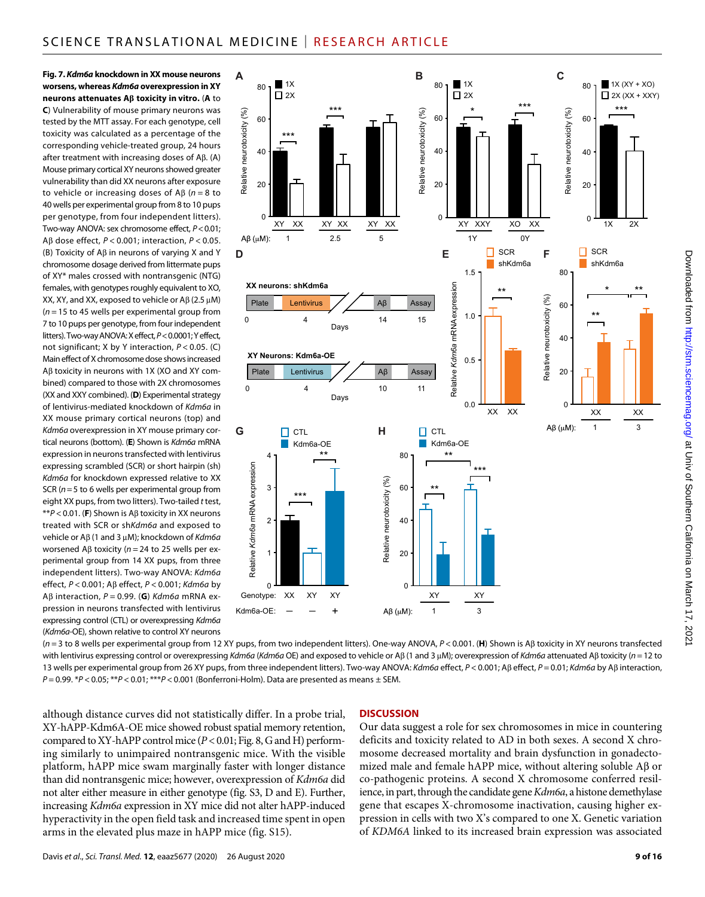**Fig. 7.** *Kdm6a* **knockdown in XX mouse neurons worsens, whereas** *Kdm6a* **overexpression in XY neurons attenuates A toxicity in vitro.** (**A** to **C**) Vulnerability of mouse primary neurons was tested by the MTT assay. For each genotype, cell toxicity was calculated as a percentage of the corresponding vehicle-treated group, 24 hours after treatment with increasing doses of  $A\beta$ . (A) Mouse primary cortical XY neurons showed greater vulnerability than did XX neurons after exposure to vehicle or increasing doses of  $A\beta$  ( $n = 8$  to 40 wells per experimental group from 8 to 10 pups per genotype, from four independent litters). Two-way ANOVA: sex chromosome effect, *P*<0.01; Aβ dose effect,  $P < 0.001$ ; interaction,  $P < 0.05$ . (B) Toxicity of  $A\beta$  in neurons of varying X and Y chromosome dosage derived from littermate pups of XY\* males crossed with nontransgenic (NTG) females, with genotypes roughly equivalent to XO, XX, XY, and XX, exposed to vehicle or  $AB(2.5 \mu M)$ (*n* = 15 to 45 wells per experimental group from 7 to 10 pups per genotype, from four independent litters). Two-way ANOVA: X effect, *P*<0.0001; Y effect, not significant; X by Y interaction, *P* < 0.05. (C) Main effect of X chromosome dose shows increased  $AB$  toxicity in neurons with 1X (XO and XY combined) compared to those with 2X chromosomes (XX and XXY combined). (**D**) Experimental strategy of lentivirus-mediated knockdown of *Kdm6a* in XX mouse primary cortical neurons (top) and *Kdm6a* overexpression in XY mouse primary cortical neurons (bottom). (**E**) Shown is *Kdm6a* mRNA expression in neurons transfected with lentivirus expressing scrambled (SCR) or short hairpin (sh) *Kdm6a* for knockdown expressed relative to XX SCR (*n*=5 to 6 wells per experimental group from eight XX pups, from two litters). Two-tailed *t* test, \*\**P* < 0.01. (**F**) Shown is Aβ toxicity in XX neurons treated with SCR or sh*Kdm6a* and exposed to vehicle or Aβ (1 and 3 μM); knockdown of *Kdm6a* worsened A $\beta$  toxicity ( $n = 24$  to 25 wells per experimental group from 14 XX pups, from three independent litters). Two-way ANOVA: *Kdm6a* effect, *P* < 0.001; A effect, *P* < 0.001; *Kdm6a* by Aβ interaction,  $P = 0.99$ . (**G**) *Kdm6a* mRNA expression in neurons transfected with lentivirus expressing control (CTL) or overexpressing *Kdm6a* (*Kdm6a*-OE), shown relative to control XY neurons



(*n* = 3 to 8 wells per experimental group from 12 XY pups, from two independent litters). One-way ANOVA, *P* < 0.001. (**H**) Shown is A toxicity in XY neurons transfected with lentivirus expressing control or overexpressing *Kdm6a* (*Kdm6a* OE) and exposed to vehicle or AB (1 and 3 uM); overexpression of *Kdm6a* attenuated AB toxicity (*n* = 12 to 13 wells per experimental group from 26 XY pups, from three independent litters). Two-way ANOVA: *Kdm6a* effect, *P* < 0.001; Aβ effect, *P* = 0.01; *Kdm6a* by Aβ interaction, *P* = 0.99. \**P* < 0.05; \*\**P* < 0.01; \*\*\**P* < 0.001 (Bonferroni-Holm). Data are presented as means ± SEM.

although distance curves did not statistically differ. In a probe trial, XY-hAPP-Kdm6A-OE mice showed robust spatial memory retention, compared to XY-hAPP control mice (*P* < 0.01; Fig. 8, G and H) performing similarly to unimpaired nontransgenic mice. With the visible platform, hAPP mice swam marginally faster with longer distance than did nontransgenic mice; however, overexpression of *Kdm6a* did not alter either measure in either genotype (fig. S3, D and E). Further, increasing *Kdm6a* expression in XY mice did not alter hAPP-induced hyperactivity in the open field task and increased time spent in open arms in the elevated plus maze in hAPP mice (fig. S15).

#### **DISCUSSION**

Our data suggest a role for sex chromosomes in mice in countering deficits and toxicity related to AD in both sexes. A second X chromosome decreased mortality and brain dysfunction in gonadectomized male and female hAPP mice, without altering soluble  $\overrightarrow{AB}$  or co-pathogenic proteins. A second X chromosome conferred resilience, in part, through the candidate gene *Kdm6a*, a histone demethylase gene that escapes X-chromosome inactivation, causing higher expression in cells with two X's compared to one X. Genetic variation of *KDM6A* linked to its increased brain expression was associated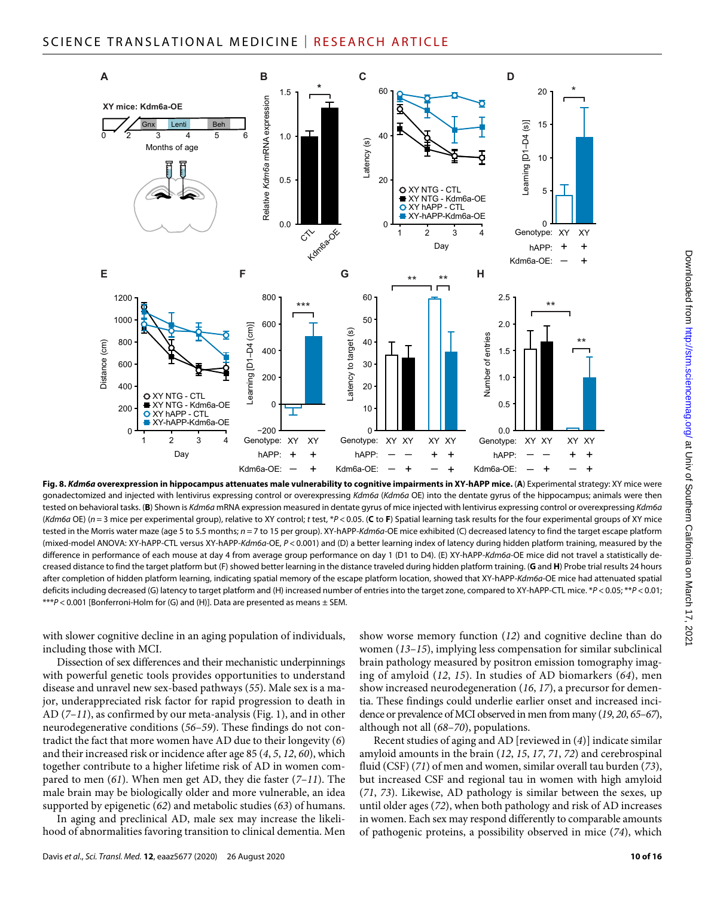

**Fig. 8.** *Kdm6a* **overexpression in hippocampus attenuates male vulnerability to cognitive impairments in XY-hAPP mice.** (**A**) Experimental strategy: XY mice were gonadectomized and injected with lentivirus expressing control or overexpressing *Kdm6a* (*Kdm6a* OE) into the dentate gyrus of the hippocampus; animals were then tested on behavioral tasks. (**B**) Shown is *Kdm6a* mRNA expression measured in dentate gyrus of mice injected with lentivirus expressing control or overexpressing *Kdm6a* (*Kdm6a* OE) (*n* = 3 mice per experimental group), relative to XY control; *t* test, \**P* < 0.05. (**C** to **F**) Spatial learning task results for the four experimental groups of XY mice tested in the Morris water maze (age 5 to 5.5 months; *n* = 7 to 15 per group). XY-hAPP-*Kdm6a*-OE mice exhibited (C) decreased latency to find the target escape platform (mixed-model ANOVA: XY-hAPP-CTL versus XY-hAPP-*Kdm6a*-OE, *P* < 0.001) and (D) a better learning index of latency during hidden platform training, measured by the difference in performance of each mouse at day 4 from average group performance on day 1 (D1 to D4). (E) XY-hAPP-*Kdm6a*-OE mice did not travel a statistically decreased distance to find the target platform but (F) showed better learning in the distance traveled during hidden platform training. (**G** and **H**) Probe trial results 24 hours after completion of hidden platform learning, indicating spatial memory of the escape platform location, showed that XY-hAPP-*Kdm6a*-OE mice had attenuated spatial deficits including decreased (G) latency to target platform and (H) increased number of entries into the target zone, compared to XY-hAPP-CTL mice. \**P* < 0.05; \*\**P* < 0.01; \*\*\**P* < 0.001 [Bonferroni-Holm for (G) and (H)]. Data are presented as means ± SEM.

with slower cognitive decline in an aging population of individuals, including those with MCI.

Dissection of sex differences and their mechanistic underpinnings with powerful genetic tools provides opportunities to understand disease and unravel new sex-based pathways (*55*). Male sex is a major, underappreciated risk factor for rapid progression to death in AD (*7*–*11*), as confirmed by our meta-analysis (Fig. 1), and in other neurodegenerative conditions (*56*–*59*). These findings do not contradict the fact that more women have AD due to their longevity (*6*) and their increased risk or incidence after age 85 (*4*, *5*, *12*, *60*), which together contribute to a higher lifetime risk of AD in women compared to men (*61*). When men get AD, they die faster (*7*–*11*). The male brain may be biologically older and more vulnerable, an idea supported by epigenetic (*62*) and metabolic studies (*63*) of humans.

In aging and preclinical AD, male sex may increase the likelihood of abnormalities favoring transition to clinical dementia. Men

show worse memory function (*12*) and cognitive decline than do women (*13*–*15*), implying less compensation for similar subclinical brain pathology measured by positron emission tomography imaging of amyloid (*12*, *15*). In studies of AD biomarkers (*64*), men show increased neurodegeneration (*16*, *17*), a precursor for dementia. These findings could underlie earlier onset and increased incidence or prevalence of MCI observed in men from many (*19*, *20*, *65*–*67*), although not all (*68*–*70*), populations.

Recent studies of aging and AD [reviewed in (*4*)] indicate similar amyloid amounts in the brain (*12*, *15*, *17*, *71*, *72*) and cerebrospinal fluid (CSF) (*71*) of men and women, similar overall tau burden (*73*), but increased CSF and regional tau in women with high amyloid (*71*, *73*). Likewise, AD pathology is similar between the sexes, up until older ages (*72*), when both pathology and risk of AD increases in women. Each sex may respond differently to comparable amounts of pathogenic proteins, a possibility observed in mice (*74*), which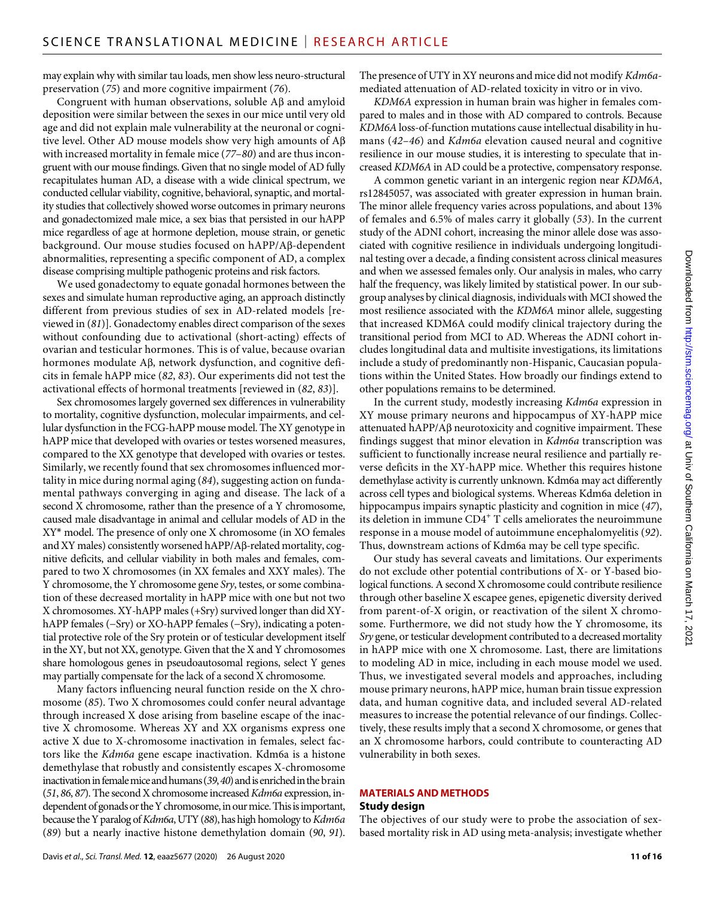may explain why with similar tau loads, men show less neuro-structural preservation (*75*) and more cognitive impairment (*76*).

Congruent with human observations, soluble  $\mathcal{A}\beta$  and amyloid deposition were similar between the sexes in our mice until very old age and did not explain male vulnerability at the neuronal or cognitive level. Other AD mouse models show very high amounts of A with increased mortality in female mice (*77*–*80*) and are thus incongruent with our mouse findings. Given that no single model of AD fully recapitulates human AD, a disease with a wide clinical spectrum, we conducted cellular viability, cognitive, behavioral, synaptic, and mortality studies that collectively showed worse outcomes in primary neurons and gonadectomized male mice, a sex bias that persisted in our hAPP mice regardless of age at hormone depletion, mouse strain, or genetic background. Our mouse studies focused on hAPP/Aß-dependent abnormalities, representing a specific component of AD, a complex disease comprising multiple pathogenic proteins and risk factors.

We used gonadectomy to equate gonadal hormones between the sexes and simulate human reproductive aging, an approach distinctly different from previous studies of sex in AD-related models [reviewed in (*81*)]. Gonadectomy enables direct comparison of the sexes without confounding due to activational (short-acting) effects of ovarian and testicular hormones. This is of value, because ovarian hormones modulate  $A\beta$ , network dysfunction, and cognitive deficits in female hAPP mice (*82*, *83*). Our experiments did not test the activational effects of hormonal treatments [reviewed in (*82*, *83*)].

Sex chromosomes largely governed sex differences in vulnerability to mortality, cognitive dysfunction, molecular impairments, and cellular dysfunction in the FCG-hAPP mouse model. The XY genotype in hAPP mice that developed with ovaries or testes worsened measures, compared to the XX genotype that developed with ovaries or testes. Similarly, we recently found that sex chromosomes influenced mortality in mice during normal aging (*84*), suggesting action on fundamental pathways converging in aging and disease. The lack of a second X chromosome, rather than the presence of a Y chromosome, caused male disadvantage in animal and cellular models of AD in the XY\* model. The presence of only one X chromosome (in XO females and XY males) consistently worsened  $hAPP/A\beta$ -related mortality, cognitive deficits, and cellular viability in both males and females, compared to two X chromosomes (in XX females and XXY males). The Y chromosome, the Y chromosome gene *Sry*, testes, or some combination of these decreased mortality in hAPP mice with one but not two X chromosomes. XY-hAPP males (+Sry) survived longer than did XYhAPP females (−Sry) or XO-hAPP females (−Sry), indicating a potential protective role of the Sry protein or of testicular development itself in the XY, but not XX, genotype. Given that the X and Y chromosomes share homologous genes in pseudoautosomal regions, select Y genes may partially compensate for the lack of a second X chromosome.

Many factors influencing neural function reside on the X chromosome (*85*). Two X chromosomes could confer neural advantage through increased X dose arising from baseline escape of the inactive X chromosome. Whereas XY and XX organisms express one active X due to X-chromosome inactivation in females, select factors like the *Kdm6a* gene escape inactivation. Kdm6a is a histone demethylase that robustly and consistently escapes X-chromosome inactivation in female mice and humans (*39*, *40*) and is enriched in the brain (*51*, *86*, *87*). The second X chromosome increased *Kdm6a* expression, independent of gonads or the Y chromosome, in our mice. This is important, because the Y paralog of *Kdm6a*, UTY (*88*), has high homology to *Kdm6a* (*89*) but a nearly inactive histone demethylation domain (*90*, *91*). The presence of UTY in XY neurons and mice did not modify *Kdm6a*mediated attenuation of AD-related toxicity in vitro or in vivo.

*KDM6A* expression in human brain was higher in females compared to males and in those with AD compared to controls. Because *KDM6A* loss-of-function mutations cause intellectual disability in humans (*42*–*46*) and *Kdm6a* elevation caused neural and cognitive resilience in our mouse studies, it is interesting to speculate that increased *KDM6A* in AD could be a protective, compensatory response.

A common genetic variant in an intergenic region near *KDM6A*, rs12845057, was associated with greater expression in human brain. The minor allele frequency varies across populations, and about 13% of females and 6.5% of males carry it globally (*53*). In the current study of the ADNI cohort, increasing the minor allele dose was associated with cognitive resilience in individuals undergoing longitudinal testing over a decade, a finding consistent across clinical measures and when we assessed females only. Our analysis in males, who carry half the frequency, was likely limited by statistical power. In our subgroup analyses by clinical diagnosis, individuals with MCI showed the most resilience associated with the *KDM6A* minor allele, suggesting that increased KDM6A could modify clinical trajectory during the transitional period from MCI to AD. Whereas the ADNI cohort includes longitudinal data and multisite investigations, its limitations include a study of predominantly non-Hispanic, Caucasian populations within the United States. How broadly our findings extend to other populations remains to be determined.

In the current study, modestly increasing *Kdm6a* expression in XY mouse primary neurons and hippocampus of XY-hAPP mice attenuated hAPP/Aß neurotoxicity and cognitive impairment. These findings suggest that minor elevation in *Kdm6a* transcription was sufficient to functionally increase neural resilience and partially reverse deficits in the XY-hAPP mice. Whether this requires histone demethylase activity is currently unknown. Kdm6a may act differently across cell types and biological systems. Whereas Kdm6a deletion in hippocampus impairs synaptic plasticity and cognition in mice (*47*), its deletion in immune  $CD4^+$  T cells ameliorates the neuroimmune response in a mouse model of autoimmune encephalomyelitis (*92*). Thus, downstream actions of Kdm6a may be cell type specific.

Our study has several caveats and limitations. Our experiments do not exclude other potential contributions of X- or Y-based biological functions. A second X chromosome could contribute resilience through other baseline X escapee genes, epigenetic diversity derived from parent-of-X origin, or reactivation of the silent X chromosome. Furthermore, we did not study how the Y chromosome, its *Sry* gene, or testicular development contributed to a decreased mortality in hAPP mice with one X chromosome. Last, there are limitations to modeling AD in mice, including in each mouse model we used. Thus, we investigated several models and approaches, including mouse primary neurons, hAPP mice, human brain tissue expression data, and human cognitive data, and included several AD-related measures to increase the potential relevance of our findings. Collectively, these results imply that a second X chromosome, or genes that an X chromosome harbors, could contribute to counteracting AD vulnerability in both sexes.

#### **MATERIALS AND METHODS Study design**

The objectives of our study were to probe the association of sexbased mortality risk in AD using meta-analysis; investigate whether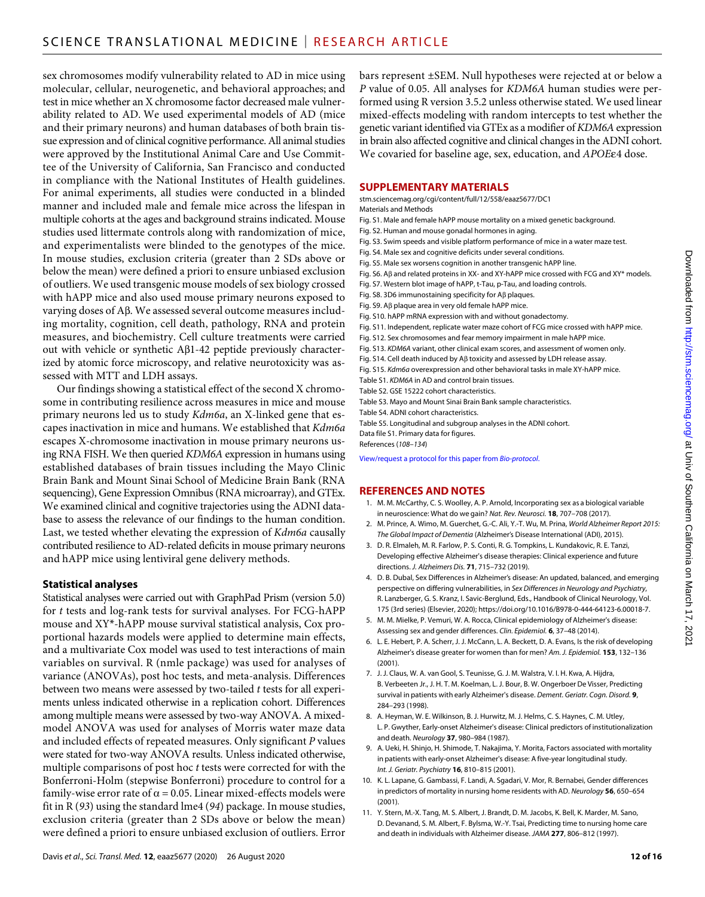sex chromosomes modify vulnerability related to AD in mice using molecular, cellular, neurogenetic, and behavioral approaches; and test in mice whether an X chromosome factor decreased male vulnerability related to AD. We used experimental models of AD (mice and their primary neurons) and human databases of both brain tissue expression and of clinical cognitive performance. All animal studies were approved by the Institutional Animal Care and Use Committee of the University of California, San Francisco and conducted in compliance with the National Institutes of Health guidelines. For animal experiments, all studies were conducted in a blinded manner and included male and female mice across the lifespan in multiple cohorts at the ages and background strains indicated. Mouse studies used littermate controls along with randomization of mice, and experimentalists were blinded to the genotypes of the mice. In mouse studies, exclusion criteria (greater than 2 SDs above or below the mean) were defined a priori to ensure unbiased exclusion of outliers. We used transgenic mouse models of sex biology crossed with hAPP mice and also used mouse primary neurons exposed to varying doses of A $\beta$ . We assessed several outcome measures including mortality, cognition, cell death, pathology, RNA and protein measures, and biochemistry. Cell culture treatments were carried out with vehicle or synthetic  $A\beta1-42$  peptide previously characterized by atomic force microscopy, and relative neurotoxicity was assessed with MTT and LDH assays.

Our findings showing a statistical effect of the second X chromosome in contributing resilience across measures in mice and mouse primary neurons led us to study *Kdm6a*, an X-linked gene that escapes inactivation in mice and humans. We established that *Kdm6a* escapes X-chromosome inactivation in mouse primary neurons using RNA FISH. We then queried *KDM6A* expression in humans using established databases of brain tissues including the Mayo Clinic Brain Bank and Mount Sinai School of Medicine Brain Bank (RNA sequencing), Gene Expression Omnibus (RNA microarray), and GTEx. We examined clinical and cognitive trajectories using the ADNI database to assess the relevance of our findings to the human condition. Last, we tested whether elevating the expression of *Kdm6a* causally contributed resilience to AD-related deficits in mouse primary neurons and hAPP mice using lentiviral gene delivery methods.

### **Statistical analyses**

Statistical analyses were carried out with GraphPad Prism (version 5.0) for *t* tests and log-rank tests for survival analyses. For FCG-hAPP mouse and XY\*-hAPP mouse survival statistical analysis, Cox proportional hazards models were applied to determine main effects, and a multivariate Cox model was used to test interactions of main variables on survival. R (nmle package) was used for analyses of variance (ANOVAs), post hoc tests, and meta-analysis. Differences between two means were assessed by two-tailed *t* tests for all experiments unless indicated otherwise in a replication cohort. Differences among multiple means were assessed by two-way ANOVA. A mixedmodel ANOVA was used for analyses of Morris water maze data and included effects of repeated measures. Only significant *P* values were stated for two-way ANOVA results. Unless indicated otherwise, multiple comparisons of post hoc *t* tests were corrected for with the Bonferroni-Holm (stepwise Bonferroni) procedure to control for a family-wise error rate of  $\alpha$  = 0.05. Linear mixed-effects models were fit in R (*93*) using the standard lme4 (*94*) package. In mouse studies, exclusion criteria (greater than 2 SDs above or below the mean) were defined a priori to ensure unbiased exclusion of outliers. Error

bars represent ±SEM. Null hypotheses were rejected at or below a *P* value of 0.05. All analyses for *KDM6A* human studies were performed using R version 3.5.2 unless otherwise stated. We used linear mixed-effects modeling with random intercepts to test whether the genetic variant identified via GTEx as a modifier of *KDM6A* expression in brain also affected cognitive and clinical changes in the ADNI cohort. We covaried for baseline age, sex, education, and *APOE*ε4 dose.

# **SUPPLEMENTARY MATERIALS**

#### [stm.sciencemag.org/cgi/content/full/12/558/eaaz5677/DC1](http://stm.sciencemag.org/cgi/content/full/12/558/eaaz5677/DC1)

- Materials and Methods
- Fig. S1. Male and female hAPP mouse mortality on a mixed genetic background.
- Fig. S2. Human and mouse gonadal hormones in aging.
- Fig. S3. Swim speeds and visible platform performance of mice in a water maze test.
- Fig. S4. Male sex and cognitive deficits under several conditions.
- Fig. S5. Male sex worsens cognition in another transgenic hAPP line.
- Fig. S6. Aß and related proteins in XX- and XY-hAPP mice crossed with FCG and XY\* models.
- Fig. S7. Western blot image of hAPP, t-Tau, p-Tau, and loading controls.
- Fig. S8. 3D6 immunostaining specificity for A $\beta$  plaques.
- Fig. S9. A $\beta$  plaque area in very old female hAPP mice.
- Fig. S10. hAPP mRNA expression with and without gonadectomy.
- Fig. S11. Independent, replicate water maze cohort of FCG mice crossed with hAPP mice.
- Fig. S12. Sex chromosomes and fear memory impairment in male hAPP mice.
- Fig. S13. *KDM6A* variant, other clinical exam scores, and assessment of women only.
- Fig. S14. Cell death induced by A $\beta$  toxicity and assessed by LDH release assay.
- Fig. S15. *Kdm6a* overexpression and other behavioral tasks in male XY-hAPP mice.
- Table S1. *KDM6A* in AD and control brain tissues.
- Table S2. GSE 15222 cohort characteristics.
- Table S3. Mayo and Mount Sinai Brain Bank sample characteristics. Table S4. ADNI cohort characteristics.
- Table S5. Longitudinal and subgroup analyses in the ADNI cohort.
- Data file S1. Primary data for figures.

References (*108*–*134*)

[View/request a protocol for this paper from](https://en.bio-protocol.org/cjrap.aspx?eid=10.1126/scitranslmed.aaz5677) *Bio-protocol*.

#### **REFERENCES AND NOTES**

- 1. M. M. McCarthy, C. S. Woolley, A. P. Arnold, Incorporating sex as a biological variable in neuroscience: What do we gain? *Nat. Rev. Neurosci.* **18**, 707–708 (2017).
- 2. M. Prince, A. Wimo, M. Guerchet, G.-C. Ali, Y.-T. Wu, M. Prina, *World Alzheimer Report 2015: The Global Impact of Dementia* (Alzheimer's Disease International (ADI), 2015).
- 3. D. R. Elmaleh, M. R. Farlow, P. S. Conti, R. G. Tompkins, L. Kundakovic, R. E. Tanzi, Developing effective Alzheimer's disease therapies: Clinical experience and future directions. *J. Alzheimers Dis.* **71**, 715–732 (2019).
- 4. D. B. Dubal, Sex Differences in Alzheimer's disease: An updated, balanced, and emerging perspective on differing vulnerabilities, in *Sex Differences in Neurology and Psychiatry*, R. Lanzberger, G. S. Kranz, I. Savic-Berglund, Eds., Handbook of Clinical Neurology, Vol. 175 (3rd series) (Elsevier, 2020); [https://doi.org/10.1016/B978-0-444-64123-6.00018-7.](https://doi.org/10.1016/B978-0-444-64123-6.00018-7)
- 5. M. M. Mielke, P. Vemuri, W. A. Rocca, Clinical epidemiology of Alzheimer's disease: Assessing sex and gender differences. *Clin. Epidemiol.* **6**, 37–48 (2014).
- 6. L. E. Hebert, P. A. Scherr, J. J. McCann, L. A. Beckett, D. A. Evans, Is the risk of developing Alzheimer's disease greater for women than for men? *Am. J. Epidemiol.* **153**, 132–136 (2001).
- 7. J. J. Claus, W. A. van Gool, S. Teunisse, G. J. M. Walstra, V. I. H. Kwa, A. Hijdra, B. Verbeeten Jr., J. H. T. M. Koelman, L. J. Bour, B. W. Ongerboer De Visser, Predicting survival in patients with early Alzheimer's disease. *Dement. Geriatr. Cogn. Disord.* **9**, 284–293 (1998).
- 8. A. Heyman, W. E. Wilkinson, B. J. Hurwitz, M. J. Helms, C. S. Haynes, C. M. Utley, L. P. Gwyther, Early-onset Alzheimer's disease: Clinical predictors of institutionalization and death. *Neurology* **37**, 980–984 (1987).
- 9. A. Ueki, H. Shinjo, H. Shimode, T. Nakajima, Y. Morita, Factors associated with mortality in patients with early-onset Alzheimer's disease: A five-year longitudinal study. *Int. J. Geriatr. Psychiatry* **16**, 810–815 (2001).
- 10. K. L. Lapane, G. Gambassi, F. Landi, A. Sgadari, V. Mor, R. Bernabei, Gender differences in predictors of mortality in nursing home residents with AD. *Neurology* **56**, 650–654 (2001).
- 11. Y. Stern, M.-X. Tang, M. S. Albert, J. Brandt, D. M. Jacobs, K. Bell, K. Marder, M. Sano, D. Devanand, S. M. Albert, F. Bylsma, W.-Y. Tsai, Predicting time to nursing home care and death in individuals with Alzheimer disease. *JAMA* **277**, 806–812 (1997).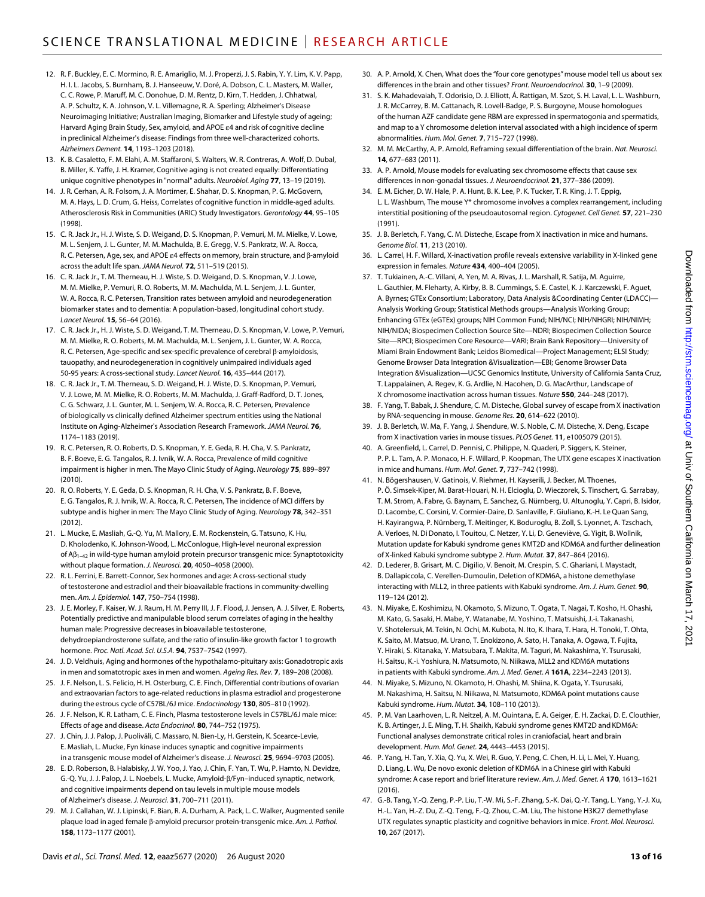- 12. R. F. Buckley, E. C. Mormino, R. E. Amariglio, M. J. Properzi, J. S. Rabin, Y. Y. Lim, K. V. Papp, H. I. L. Jacobs, S. Burnham, B. J. Hanseeuw, V. Doré, A. Dobson, C. L. Masters, M. Waller, C. C. Rowe, P. Maruff, M. C. Donohue, D. M. Rentz, D. Kirn, T. Hedden, J. Chhatwal, A. P. Schultz, K. A. Johnson, V. L. Villemagne, R. A. Sperling; Alzheimer's Disease Neuroimaging Initiative; Australian Imaging, Biomarker and Lifestyle study of ageing; Harvard Aging Brain Study, Sex, amyloid, and APOE  $\varepsilon$ 4 and risk of cognitive decline in preclinical Alzheimer's disease: Findings from three well-characterized cohorts. *Alzheimers Dement.* **14**, 1193–1203 (2018).
- 13. K. B. Casaletto, F. M. Elahi, A. M. Staffaroni, S. Walters, W. R. Contreras, A. Wolf, D. Dubal, B. Miller, K. Yaffe, J. H. Kramer, Cognitive aging is not created equally: Differentiating unique cognitive phenotypes in "normal" adults. *Neurobiol. Aging* **77**, 13–19 (2019).
- 14. J. R. Cerhan, A. R. Folsom, J. A. Mortimer, E. Shahar, D. S. Knopman, P. G. McGovern, M. A. Hays, L. D. Crum, G. Heiss, Correlates of cognitive function in middle-aged adults. Atherosclerosis Risk in Communities (ARIC) Study Investigators. *Gerontology* **44**, 95–105 (1998).
- 15. C. R. Jack Jr., H. J. Wiste, S. D. Weigand, D. S. Knopman, P. Vemuri, M. M. Mielke, V. Lowe, M. L. Senjem, J. L. Gunter, M. M. Machulda, B. E. Gregg, V. S. Pankratz, W. A. Rocca, R. C. Petersen, Age, sex, and APOE  $\varepsilon$ 4 effects on memory, brain structure, and  $\beta$ -amyloid across the adult life span. *JAMA Neurol.* **72**, 511–519 (2015).
- 16. C. R. Jack Jr., T. M. Therneau, H. J. Wiste, S. D. Weigand, D. S. Knopman, V. J. Lowe, M. M. Mielke, P. Vemuri, R. O. Roberts, M. M. Machulda, M. L. Senjem, J. L. Gunter, W. A. Rocca, R. C. Petersen, Transition rates between amyloid and neurodegeneration biomarker states and to dementia: A population-based, longitudinal cohort study. *Lancet Neurol.* **15**, 56–64 (2016).
- 17. C. R. Jack Jr., H. J. Wiste, S. D. Weigand, T. M. Therneau, D. S. Knopman, V. Lowe, P. Vemuri, M. M. Mielke, R. O. Roberts, M. M. Machulda, M. L. Senjem, J. L. Gunter, W. A. Rocca, R. C. Petersen, Age-specific and sex-specific prevalence of cerebral  $\beta$ -amyloidosis, tauopathy, and neurodegeneration in cognitively unimpaired individuals aged 50-95 years: A cross-sectional study. *Lancet Neurol.* **16**, 435–444 (2017).
- 18. C. R. Jack Jr., T. M. Therneau, S. D. Weigand, H. J. Wiste, D. S. Knopman, P. Vemuri, V. J. Lowe, M. M. Mielke, R. O. Roberts, M. M. Machulda, J. Graff-Radford, D. T. Jones, C. G. Schwarz, J. L. Gunter, M. L. Senjem, W. A. Rocca, R. C. Petersen, Prevalence of biologically vs clinically defined Alzheimer spectrum entities using the National Institute on Aging-Alzheimer's Association Research Framework. *JAMA Neurol.* **76**, 1174–1183 (2019).
- 19. R. C. Petersen, R. O. Roberts, D. S. Knopman, Y. E. Geda, R. H. Cha, V. S. Pankratz, B. F. Boeve, E. G. Tangalos, R. J. Ivnik, W. A. Rocca, Prevalence of mild cognitive impairment is higher in men. The Mayo Clinic Study of Aging. *Neurology* **75**, 889–897 (2010).
- 20. R. O. Roberts, Y. E. Geda, D. S. Knopman, R. H. Cha, V. S. Pankratz, B. F. Boeve, E. G. Tangalos, R. J. Ivnik, W. A. Rocca, R. C. Petersen, The incidence of MCI differs by subtype and is higher in men: The Mayo Clinic Study of Aging. *Neurology* **78**, 342–351 (2012).
- 21. L. Mucke, E. Masliah, G.-Q. Yu, M. Mallory, E. M. Rockenstein, G. Tatsuno, K. Hu, D. Kholodenko, K. Johnson-Wood, L. McConlogue, High-level neuronal expression of  $AB_{1-42}$  in wild-type human amyloid protein precursor transgenic mice: Synaptotoxicity without plaque formation. *J. Neurosci.* **20**, 4050–4058 (2000).
- 22. R. L. Ferrini, E. Barrett-Connor, Sex hormones and age: A cross-sectional study of testosterone and estradiol and their bioavailable fractions in community-dwelling men. *Am. J. Epidemiol.* **147**, 750–754 (1998).
- 23. J. E. Morley, F. Kaiser, W. J. Raum, H. M. Perry III, J. F. Flood, J. Jensen, A. J. Silver, E. Roberts, Potentially predictive and manipulable blood serum correlates of aging in the healthy human male: Progressive decreases in bioavailable testosterone, dehydroepiandrosterone sulfate, and the ratio of insulin-like growth factor 1 to growth hormone. *Proc. Natl. Acad. Sci. U.S.A.* **94**, 7537–7542 (1997).
- 24. J. D. Veldhuis, Aging and hormones of the hypothalamo-pituitary axis: Gonadotropic axis in men and somatotropic axes in men and women. *Ageing Res. Rev.* **7**, 189–208 (2008).
- 25. J. F. Nelson, L. S. Felicio, H. H. Osterburg, C. E. Finch, Differential contributions of ovarian and extraovarian factors to age-related reductions in plasma estradiol and progesterone during the estrous cycle of C57BL/6J mice. *Endocrinology* **130**, 805–810 (1992).
- 26. J. F. Nelson, K. R. Latham, C. E. Finch, Plasma testosterone levels in C57BL/6J male mice: Effects of age and disease. *Acta Endocrinol.* **80**, 744–752 (1975).
- 27. J. Chin, J. J. Palop, J. Puoliväli, C. Massaro, N. Bien-Ly, H. Gerstein, K. Scearce-Levie, E. Masliah, L. Mucke, Fyn kinase induces synaptic and cognitive impairments in a transgenic mouse model of Alzheimer's disease. *J. Neurosci.* **25**, 9694–9703 (2005).
- 28. E. D. Roberson, B. Halabisky, J. W. Yoo, J. Yao, J. Chin, F. Yan, T. Wu, P. Hamto, N. Devidze, G.-Q. Yu, J. J. Palop, J. L. Noebels, L. Mucke, Amyloid- $\beta$ /Fyn-induced synaptic, network, and cognitive impairments depend on tau levels in multiple mouse models of Alzheimer's disease. *J. Neurosci.* **31**, 700–711 (2011).
- 29. M. J. Callahan, W. J. Lipinski, F. Bian, R. A. Durham, A. Pack, L. C. Walker, Augmented senile plaque load in aged female β-amyloid precursor protein-transgenic mice. Am. J. Pathol. **158**, 1173–1177 (2001).
- 30. A. P. Arnold, X. Chen, What does the "four core genotypes" mouse model tell us about sex differences in the brain and other tissues? *Front. Neuroendocrinol.* **30**, 1–9 (2009).
- 31. S. K. Mahadevaiah, T. Odorisio, D. J. Elliott, Á. Rattigan, M. Szot, S. H. Laval, L. L. Washburn, J. R. McCarrey, B. M. Cattanach, R. Lovell-Badge, P. S. Burgoyne, Mouse homologues of the human AZF candidate gene RBM are expressed in spermatogonia and spermatids, and map to a Y chromosome deletion interval associated with a high incidence of sperm abnormalities. *Hum. Mol. Genet.* **7**, 715–727 (1998).
- 32. M. M. McCarthy, A. P. Arnold, Reframing sexual differentiation of the brain. *Nat. Neurosci.* **14**, 677–683 (2011).
- 33. A. P. Arnold, Mouse models for evaluating sex chromosome effects that cause sex differences in non-gonadal tissues. *J. Neuroendocrinol.* **21**, 377–386 (2009).
- 34. E. M. Eicher, D. W. Hale, P. A. Hunt, B. K. Lee, P. K. Tucker, T. R. King, J. T. Eppig, L. L. Washburn, The mouse Y\* chromosome involves a complex rearrangement, including interstitial positioning of the pseudoautosomal region. *Cytogenet. Cell Genet.* **57**, 221–230 (1991).
- 35. J. B. Berletch, F. Yang, C. M. Disteche, Escape from X inactivation in mice and humans. *Genome Biol.* **11**, 213 (2010).
- 36. L. Carrel, H. F. Willard, X-inactivation profile reveals extensive variability in X-linked gene expression in females. *Nature* **434**, 400–404 (2005).
- 37. T. Tukiainen, A.-C. Villani, A. Yen, M. A. Rivas, J. L. Marshall, R. Satija, M. Aguirre, L. Gauthier, M. Fleharty, A. Kirby, B. B. Cummings, S. E. Castel, K. J. Karczewski, F. Aguet, A. Byrnes; GTEx Consortium; Laboratory, Data Analysis &Coordinating Center (LDACC)— Analysis Working Group; Statistical Methods groups—Analysis Working Group; Enhancing GTEx (eGTEx) groups; NIH Common Fund; NIH/NCI; NIH/NHGRI; NIH/NIMH; NIH/NIDA; Biospecimen Collection Source Site—NDRI; Biospecimen Collection Source Site—RPCI; Biospecimen Core Resource—VARI; Brain Bank Repository—University of Miami Brain Endowment Bank; Leidos Biomedical—Project Management; ELSI Study; Genome Browser Data Integration &Visualization—EBI; Genome Browser Data Integration &Visualization—UCSC Genomics Institute, University of California Santa Cruz, T. Lappalainen, A. Regev, K. G. Ardlie, N. Hacohen, D. G. MacArthur, Landscape of X chromosome inactivation across human tissues. *Nature* **550**, 244–248 (2017).
- 38. F. Yang, T. Babak, J. Shendure, C. M. Disteche, Global survey of escape from X inactivation by RNA-sequencing in mouse. *Genome Res.* **20**, 614–622 (2010).
- 39. J. B. Berletch, W. Ma, F. Yang, J. Shendure, W. S. Noble, C. M. Disteche, X. Deng, Escape from X inactivation varies in mouse tissues. *PLOS Genet.* **11**, e1005079 (2015).
- 40. A. Greenfield, L. Carrel, D. Pennisi, C. Philippe, N. Quaderi, P. Siggers, K. Steiner, P. P. L. Tam, A. P. Monaco, H. F. Willard, P. Koopman, The UTX gene escapes X inactivation in mice and humans. *Hum. Mol. Genet.* **7**, 737–742 (1998).
- 41. N. Bögershausen, V. Gatinois, V. Riehmer, H. Kayserili, J. Becker, M. Thoenes, P. Ö. Simsek-Kiper, M. Barat-Houari, N. H. Elcioglu, D. Wieczorek, S. Tinschert, G. Sarrabay, T. M. Strom, A. Fabre, G. Baynam, E. Sanchez, G. Nürnberg, U. Altunoglu, Y. Capri, B. Isidor, D. Lacombe, C. Corsini, V. Cormier-Daire, D. Sanlaville, F. Giuliano, K.-H. LeQuan Sang, H. Kayirangwa, P. Nürnberg, T. Meitinger, K. Boduroglu, B. Zoll, S. Lyonnet, A. Tzschach, A. Verloes, N. Di Donato, I. Touitou, C. Netzer, Y. Li, D. Geneviève, G. Yigit, B. Wollnik, Mutation update for Kabuki syndrome genes KMT2D and KDM6A and further delineation of X-linked Kabuki syndrome subtype 2. *Hum. Mutat.* **37**, 847–864 (2016).
- 42. D. Lederer, B. Grisart, M. C. Digilio, V. Benoit, M. Crespin, S. C. Ghariani, I. Maystadt, B. Dallapiccola, C. Verellen-Dumoulin, Deletion of KDM6A, a histone demethylase interacting with MLL2, in three patients with Kabuki syndrome. *Am. J. Hum. Genet.* **90**, 119–124 (2012).
- 43. N. Miyake, E. Koshimizu, N. Okamoto, S. Mizuno, T. Ogata, T. Nagai, T. Kosho, H. Ohashi, M. Kato, G. Sasaki, H. Mabe, Y. Watanabe, M. Yoshino, T. Matsuishi, J.-i. Takanashi, V. Shotelersuk, M. Tekin, N. Ochi, M. Kubota, N. Ito, K. Ihara, T. Hara, H. Tonoki, T. Ohta, K. Saito, M. Matsuo, M. Urano, T. Enokizono, A. Sato, H. Tanaka, A. Ogawa, T. Fujita, Y. Hiraki, S. Kitanaka, Y. Matsubara, T. Makita, M. Taguri, M. Nakashima, Y. Tsurusaki, H. Saitsu, K.-i. Yoshiura, N. Matsumoto, N. Niikawa, MLL2 and KDM6A mutations in patients with Kabuki syndrome. *Am. J. Med. Genet. A* **161A**, 2234–2243 (2013).
- 44. N. Miyake, S. Mizuno, N. Okamoto, H. Ohashi, M. Shiina, K. Ogata, Y. Tsurusaki, M. Nakashima, H. Saitsu, N. Niikawa, N. Matsumoto, KDM6A point mutations cause Kabuki syndrome. *Hum. Mutat.* **34**, 108–110 (2013).
- 45. P. M. Van Laarhoven, L. R. Neitzel, A. M. Quintana, E. A. Geiger, E. H. Zackai, D. E. Clouthier, K. B. Artinger, J. E. Ming, T. H. Shaikh, Kabuki syndrome genes KMT2D and KDM6A: Functional analyses demonstrate critical roles in craniofacial, heart and brain development. *Hum. Mol. Genet.* **24**, 4443–4453 (2015).
- 46. P. Yang, H. Tan, Y. Xia, Q. Yu, X. Wei, R. Guo, Y. Peng, C. Chen, H. Li, L. Mei, Y. Huang, D. Liang, L. Wu, De novo exonic deletion of KDM6A in a Chinese girl with Kabuki syndrome: A case report and brief literature review. *Am. J. Med. Genet. A* **170**, 1613–1621 (2016).
- 47. G.-B. Tang, Y.-Q. Zeng, P.-P. Liu, T.-W. Mi, S.-F. Zhang, S.-K. Dai, Q.-Y. Tang, L. Yang, Y.-J. Xu, H.-L. Yan, H.-Z. Du, Z.-Q. Teng, F.-Q. Zhou, C.-M. Liu, The histone H3K27 demethylase UTX regulates synaptic plasticity and cognitive behaviors in mice. *Front. Mol. Neurosci.* **10**, 267 (2017).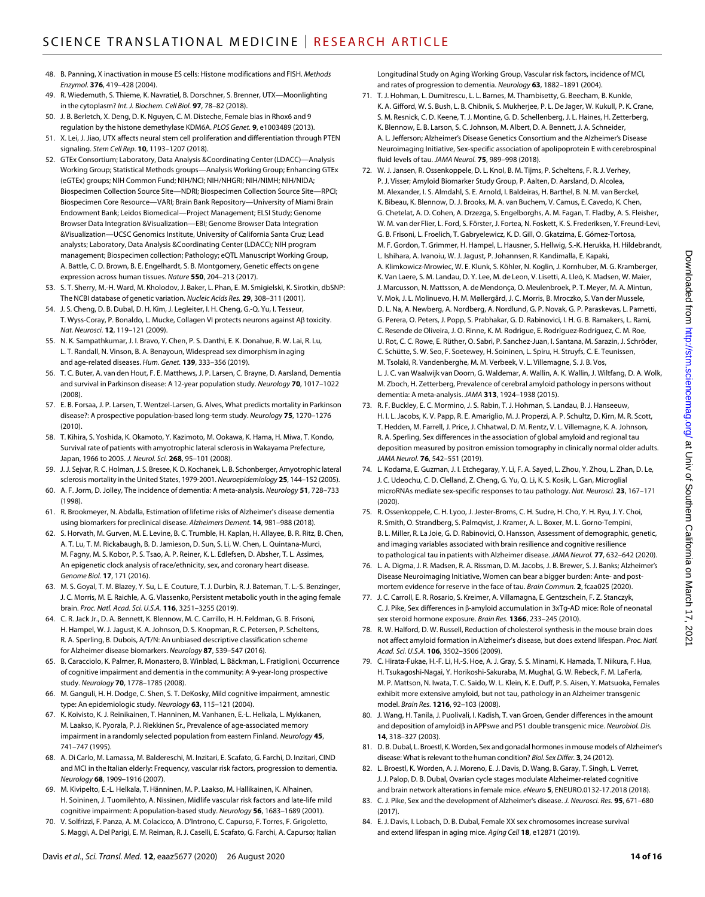- 48. B. Panning, X inactivation in mouse ES cells: Histone modifications and FISH. *Methods Enzymol.* **376**, 419–428 (2004).
- 49. R. Wiedemuth, S. Thieme, K. Navratiel, B. Dorschner, S. Brenner, UTX—Moonlighting in the cytoplasm? *Int. J. Biochem. Cell Biol.* **97**, 78–82 (2018).
- 50. J. B. Berletch, X. Deng, D. K. Nguyen, C. M. Disteche, Female bias in Rhox6 and 9 regulation by the histone demethylase KDM6A. *PLOS Genet.* **9**, e1003489 (2013).
- 51. X. Lei, J. Jiao, UTX affects neural stem cell proliferation and differentiation through PTEN signaling. *Stem Cell Rep.* **10**, 1193–1207 (2018).
- 52. GTEx Consortium; Laboratory, Data Analysis &Coordinating Center (LDACC)—Analysis Working Group; Statistical Methods groups—Analysis Working Group; Enhancing GTEx (eGTEx) groups; NIH Common Fund; NIH/NCI; NIH/NHGRI; NIH/NIMH; NIH/NIDA; Biospecimen Collection Source Site—NDRI; Biospecimen Collection Source Site—RPCI; Biospecimen Core Resource—VARI; Brain Bank Repository—University of Miami Brain Endowment Bank; Leidos Biomedical—Project Management; ELSI Study; Genome Browser Data Integration &Visualization—EBI; Genome Browser Data Integration &Visualization—UCSC Genomics Institute, University of California Santa Cruz; Lead analysts; Laboratory, Data Analysis &Coordinating Center (LDACC); NIH program management; Biospecimen collection; Pathology; eQTL Manuscript Working Group, A. Battle, C. D. Brown, B. E. Engelhardt, S. B. Montgomery, Genetic effects on gene expression across human tissues. *Nature* **550**, 204–213 (2017).
- 53. S. T. Sherry, M.-H. Ward, M. Kholodov, J. Baker, L. Phan, E. M. Smigielski, K. Sirotkin, dbSNP: The NCBI database of genetic variation. *Nucleic Acids Res.* **29**, 308–311 (2001).
- 54. J. S. Cheng, D. B. Dubal, D. H. Kim, J. Legleiter, I. H. Cheng, G.-Q. Yu, I. Tesseur, T. Wyss-Coray, P. Bonaldo, L. Mucke, Collagen VI protects neurons against  $A\beta$  toxicity. *Nat. Neurosci.* **12**, 119–121 (2009).
- 55. N. K. Sampathkumar, J. I. Bravo, Y. Chen, P. S. Danthi, E. K. Donahue, R. W. Lai, R. Lu, L. T. Randall, N. Vinson, B. A. Benayoun, Widespread sex dimorphism in aging and age-related diseases. *Hum. Genet.* **139**, 333–356 (2019).
- 56. T. C. Buter, A. van den Hout, F. E. Matthews, J. P. Larsen, C. Brayne, D. Aarsland, Dementia and survival in Parkinson disease: A 12-year population study. *Neurology* **70**, 1017–1022 (2008).
- 57. E. B. Forsaa, J. P. Larsen, T. Wentzel-Larsen, G. Alves, What predicts mortality in Parkinson disease?: A prospective population-based long-term study. *Neurology* **75**, 1270–1276 (2010).
- 58. T. Kihira, S. Yoshida, K. Okamoto, Y. Kazimoto, M. Ookawa, K. Hama, H. Miwa, T. Kondo, Survival rate of patients with amyotrophic lateral sclerosis in Wakayama Prefecture, Japan, 1966 to 2005. *J. Neurol. Sci.* **268**, 95–101 (2008).
- 59. J.J. Sejvar, R. C. Holman, J. S. Bresee, K. D. Kochanek, L. B. Schonberger, Amyotrophic lateral sclerosis mortality in theUnited States, 1979-2001. *Neuroepidemiology* **25**, 144–152 (2005).
- 60. A. F. Jorm, D. Jolley, The incidence of dementia: A meta-analysis. *Neurology* **51**, 728–733 (1998).
- 61. R. Brookmeyer, N. Abdalla, Estimation of lifetime risks of Alzheimer's disease dementia using biomarkers for preclinical disease. *Alzheimers Dement.* **14**, 981–988 (2018).
- 62. S. Horvath, M. Gurven, M. E. Levine, B. C. Trumble, H. Kaplan, H. Allayee, B. R. Ritz, B. Chen, A. T. Lu, T. M. Rickabaugh, B. D. Jamieson, D. Sun, S. Li, W. Chen, L. Quintana-Murci, M. Fagny, M. S. Kobor, P. S. Tsao, A. P. Reiner, K. L. Edlefsen, D. Absher, T. L. Assimes, An epigenetic clock analysis of race/ethnicity, sex, and coronary heart disease. *Genome Biol.* **17**, 171 (2016).
- 63. M. S. Goyal, T. M. Blazey, Y. Su, L. E. Couture, T. J. Durbin, R. J. Bateman, T. L.-S. Benzinger, J. C. Morris, M. E. Raichle, A. G. Vlassenko, Persistent metabolic youth in the aging female brain. *Proc. Natl. Acad. Sci. U.S.A.* **116**, 3251–3255 (2019).
- 64. C. R. Jack Jr., D. A. Bennett, K. Blennow, M. C. Carrillo, H. H. Feldman, G. B. Frisoni, H. Hampel, W. J. Jagust, K. A. Johnson, D. S. Knopman, R. C. Petersen, P. Scheltens, R. A. Sperling, B. Dubois, A/T/N: An unbiased descriptive classification scheme for Alzheimer disease biomarkers. *Neurology* **87**, 539–547 (2016).
- 65. B. Caracciolo, K. Palmer, R. Monastero, B. Winblad, L. Bäckman, L. Fratiglioni, Occurrence of cognitive impairment and dementia in the community: A 9-year-long prospective study. *Neurology* **70**, 1778–1785 (2008).
- 66. M. Ganguli, H. H. Dodge, C. Shen, S. T. DeKosky, Mild cognitive impairment, amnestic type: An epidemiologic study. *Neurology* **63**, 115–121 (2004).
- 67. K. Koivisto, K. J. Reinikainen, T. Hanninen, M. Vanhanen, E.-L. Helkala, L. Mykkanen, M. Laakso, K. Pyorala, P. J. Riekkinen Sr., Prevalence of age-associated memory impairment in a randomly selected population from eastern Finland. *Neurology* **45**, 741–747 (1995).
- 68. A. Di Carlo, M. Lamassa, M. Baldereschi, M. Inzitari, E. Scafato, G. Farchi, D. Inzitari, CIND and MCI in the Italian elderly: Frequency, vascular risk factors, progression to dementia. *Neurology* **68**, 1909–1916 (2007).
- 69. M. Kivipelto, E.-L. Helkala, T. Hänninen, M. P. Laakso, M. Hallikainen, K. Alhainen, H. Soininen, J. Tuomilehto, A. Nissinen, Midlife vascular risk factors and late-life mild cognitive impairment: A population-based study. *Neurology* **56**, 1683–1689 (2001).
- 70. V. Solfrizzi, F. Panza, A. M. Colacicco, A. D'Introno, C. Capurso, F. Torres, F. Grigoletto, S. Maggi, A. Del Parigi, E. M. Reiman, R. J. Caselli, E. Scafato, G. Farchi, A. Capurso; Italian

Longitudinal Study on Aging Working Group, Vascular risk factors, incidence of MCI, and rates of progression to dementia. *Neurology* **63**, 1882–1891 (2004).

- 71. T. J. Hohman, L. Dumitrescu, L. L. Barnes, M. Thambisetty, G. Beecham, B. Kunkle, K. A. Gifford, W. S. Bush, L. B. Chibnik, S. Mukherjee, P. L. De Jager, W. Kukull, P. K. Crane, S. M. Resnick, C. D. Keene, T. J. Montine, G. D. Schellenberg, J. L. Haines, H. Zetterberg, K. Blennow, E. B. Larson, S. C. Johnson, M. Albert, D. A. Bennett, J. A. Schneider, A. L. Jefferson; Alzheimer's Disease Genetics Consortium and the Alzheimer's Disease Neuroimaging Initiative, Sex-specific association of apolipoprotein E with cerebrospinal fluid levels of tau. *JAMA Neurol.* **75**, 989–998 (2018).
- 72. W. J. Jansen, R. Ossenkoppele, D. L. Knol, B. M. Tijms, P. Scheltens, F. R. J. Verhey, P. J. Visser; Amyloid Biomarker Study Group, P. Aalten, D. Aarsland, D. Alcolea, M. Alexander, I. S. Almdahl, S. E. Arnold, I. Baldeiras, H. Barthel, B. N. M. van Berckel, K. Bibeau, K. Blennow, D. J. Brooks, M. A. van Buchem, V. Camus, E. Cavedo, K. Chen, G. Chetelat, A. D. Cohen, A. Drzezga, S. Engelborghs, A. M. Fagan, T. Fladby, A. S. Fleisher, W. M. van der Flier, L. Ford, S. Förster, J. Fortea, N. Foskett, K. S. Frederiksen, Y. Freund-Levi, G. B. Frisoni, L. Froelich, T. Gabryelewicz, K. D. Gill, O. Gkatzima, E. Gómez-Tortosa, M. F. Gordon, T. Grimmer, H. Hampel, L. Hausner, S. Hellwig, S.-K. Herukka, H. Hildebrandt, L. Ishihara, A. Ivanoiu, W. J. Jagust, P. Johannsen, R. Kandimalla, E. Kapaki, A. Klimkowicz-Mrowiec, W. E. Klunk, S. Köhler, N. Koglin, J. Kornhuber, M. G. Kramberger, K. Van Laere, S. M. Landau, D. Y. Lee, M. de Leon, V. Lisetti, A. Lleó, K. Madsen, W. Maier, J. Marcusson, N. Mattsson, A. de Mendonça, O. Meulenbroek, P. T. Meyer, M. A. Mintun, V. Mok, J. L. Molinuevo, H. M. Møllergård, J. C. Morris, B. Mroczko, S. Van der Mussele, D. L. Na, A. Newberg, A. Nordberg, A. Nordlund, G. P. Novak, G. P. Paraskevas, L. Parnetti, G. Perera, O. Peters, J. Popp, S. Prabhakar, G. D. Rabinovici, I. H. G. B. Ramakers, L. Rami, C. Resende de Oliveira, J. O. Rinne, K. M. Rodrigue, E. Rodríguez-Rodríguez, C. M. Roe, U. Rot, C. C. Rowe, E. Rüther, O. Sabri, P. Sanchez-Juan, I. Santana, M. Sarazin, J. Schröder, C. Schütte, S. W. Seo, F. Soetewey, H. Soininen, L. Spiru, H. Struyfs, C. E. Teunissen, M. Tsolaki, R. Vandenberghe, M. M. Verbeek, V. L. Villemagne, S. J. B. Vos, L. J. C. van Waalwijk van Doorn, G. Waldemar, A. Wallin, A. K. Wallin, J. Wiltfang, D. A. Wolk, M. Zboch, H. Zetterberg, Prevalence of cerebral amyloid pathology in persons without dementia: A meta-analysis. *JAMA* **313**, 1924–1938 (2015).
- 73. R. F. Buckley, E. C. Mormino, J. S. Rabin, T. J. Hohman, S. Landau, B. J. Hanseeuw, H. I. L. Jacobs, K. V. Papp, R. E. Amariglio, M. J. Properzi, A. P. Schultz, D. Kirn, M. R. Scott, T. Hedden, M. Farrell, J. Price, J. Chhatwal, D. M. Rentz, V. L. Villemagne, K. A. Johnson, R. A. Sperling, Sex differences in the association of global amyloid and regional tau deposition measured by positron emission tomography in clinically normal older adults. *JAMA Neurol.* **76**, 542–551 (2019).
- 74. L. Kodama, E. Guzman, J. I. Etchegaray, Y. Li, F. A. Sayed, L. Zhou, Y. Zhou, L. Zhan, D. Le, J. C. Udeochu, C. D. Clelland, Z. Cheng, G. Yu, Q. Li, K. S. Kosik, L. Gan, Microglial microRNAs mediate sex-specific responses to tau pathology. *Nat. Neurosci.* **23**, 167–171 (2020).
- 75. R. Ossenkoppele, C. H. Lyoo, J. Jester-Broms, C. H. Sudre, H. Cho, Y. H. Ryu, J. Y. Choi, R. Smith, O. Strandberg, S. Palmqvist, J. Kramer, A. L. Boxer, M. L. Gorno-Tempini, B. L. Miller, R. La Joie, G. D. Rabinovici, O. Hansson, Assessment of demographic, genetic, and imaging variables associated with brain resilience and cognitive resilience to pathological tau in patients with Alzheimer disease. *JAMA Neurol.* **77**, 632–642 (2020).
- 76. L. A. Digma, J. R. Madsen, R. A. Rissman, D. M. Jacobs, J. B. Brewer, S. J. Banks; Alzheimer's Disease Neuroimaging Initiative, Women can bear a bigger burden: Ante- and postmortem evidence for reserve in the face of tau. *Brain Commun.* **2**, fcaa025 (2020).
- 77. J. C. Carroll, E. R. Rosario, S. Kreimer, A. Villamagna, E. Gentzschein, F. Z. Stanczyk, C. J. Pike, Sex differences in  $\beta$ -amyloid accumulation in 3xTg-AD mice: Role of neonatal sex steroid hormone exposure. *Brain Res.* **1366**, 233–245 (2010).
- 78. R. W. Halford, D. W. Russell, Reduction of cholesterol synthesis in the mouse brain does not affect amyloid formation in Alzheimer's disease, but does extend lifespan. *Proc. Natl. Acad. Sci. U.S.A.* **106**, 3502–3506 (2009).
- 79. C. Hirata-Fukae, H.-F. Li, H.-S. Hoe, A. J. Gray, S. S. Minami, K. Hamada, T. Niikura, F. Hua, H. Tsukagoshi-Nagai, Y. Horikoshi-Sakuraba, M. Mughal, G. W. Rebeck, F. M. LaFerla, M. P. Mattson, N. Iwata, T. C. Saido, W. L. Klein, K. E. Duff, P. S. Aisen, Y. Matsuoka, Females exhibit more extensive amyloid, but not tau, pathology in an Alzheimer transgenic model. *Brain Res.* **1216**, 92–103 (2008).
- 80. J. Wang, H. Tanila, J. Puolivali, I. Kadish, T. van Groen, Gender differences in the amount and deposition of amyloid<sub>B</sub> in APPswe and PS1 double transgenic mice. *Neurobiol. Dis.* **14**, 318–327 (2003).
- 81. D. B. Dubal, L. Broestl, K. Worden, Sex and gonadal hormones in mouse models of Alzheimer's disease: What is relevant to the human condition? *Biol. Sex Differ.* **3**, 24 (2012).
- 82. L. Broestl, K. Worden, A. J. Moreno, E. J. Davis, D. Wang, B. Garay, T. Singh, L. Verret, J. J. Palop, D. B. Dubal, Ovarian cycle stages modulate Alzheimer-related cognitive and brain network alterations in female mice. *eNeuro* **5**, ENEURO.0132-17.2018 (2018).
- 83. C. J. Pike, Sex and the development of Alzheimer's disease. *J. Neurosci. Res.* **95**, 671–680 (2017).
- 84. E. J. Davis, I. Lobach, D. B. Dubal, Female XX sex chromosomes increase survival and extend lifespan in aging mice. *Aging Cell* **18**, e12871 (2019).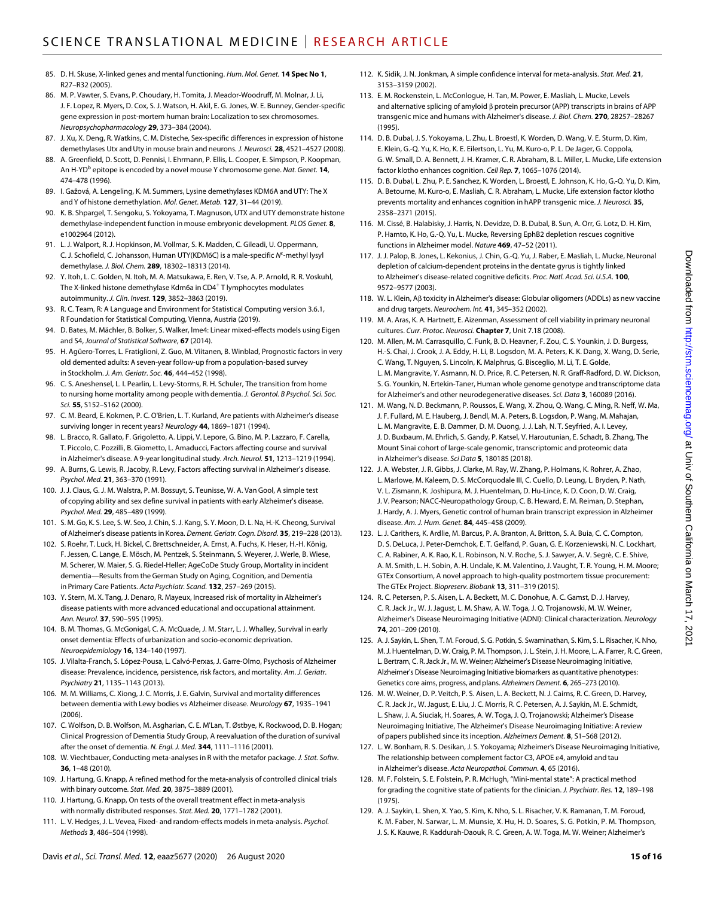- 85. D. H. Skuse, X-linked genes and mental functioning. *Hum. Mol. Genet.* **14 Spec No 1**, R27–R32 (2005).
- 86. M. P. Vawter, S. Evans, P. Choudary, H. Tomita, J. Meador-Woodruff, M. Molnar, J. Li, J. F. Lopez, R. Myers, D. Cox, S. J. Watson, H. Akil, E. G. Jones, W. E. Bunney, Gender-specific gene expression in post-mortem human brain: Localization to sex chromosomes. *Neuropsychopharmacology* **29**, 373–384 (2004).
- 87. J. Xu, X. Deng, R. Watkins, C. M. Disteche, Sex-specific differences in expression of histone demethylases Utx and Uty in mouse brain and neurons. *J. Neurosci.* **28**, 4521–4527 (2008).
- 88. A. Greenfield, D. Scott, D. Pennisi, I. Ehrmann, P. Ellis, L. Cooper, E. Simpson, P. Koopman, An H-YD<sup>b</sup> epitope is encoded by a novel mouse Y chromosome gene. *Nat. Genet*. **14**, 474–478 (1996).
- 89. I. Gažová, A. Lengeling, K. M. Summers, Lysine demethylases KDM6A and UTY: The X and Y of histone demethylation. *Mol. Genet. Metab.* **127**, 31–44 (2019).
- 90. K. B. Shpargel, T. Sengoku, S. Yokoyama, T. Magnuson, UTX and UTY demonstrate histone demethylase-independent function in mouse embryonic development. *PLOS Genet.* **8**, e1002964 (2012).
- 91. L. J. Walport, R. J. Hopkinson, M. Vollmar, S. K. Madden, C. Gileadi, U. Oppermann, C. J. Schofield, C. Johansson, Human UTY(KDM6C) is a male-specific N<sup>€</sup>-methyl lysyl demethylase. *J. Biol. Chem.* **289**, 18302–18313 (2014).
- 92. Y. Itoh, L. C. Golden, N. Itoh, M. A. Matsukawa, E. Ren, V. Tse, A. P. Arnold, R. R. Voskuhl, The X-linked histone demethylase Kdm6a in CD4<sup>+</sup> T lymphocytes modulates autoimmunity. *J. Clin. Invest.* **129**, 3852–3863 (2019).
- 93. R. C. Team, R: A Language and Environment for Statistical Computing version 3.6.1, R Foundation for Statistical Computing, Vienna, Austria (2019).
- 94. D. Bates, M. Mächler, B. Bolker, S. Walker, lme4: Linear mixed-effects models using Eigen and S4, *Journal of Statistical Software*, **67** (2014).
- 95. H. Agüero-Torres, L. Fratiglioni, Z. Guo, M. Viitanen, B. Winblad, Prognostic factors in very old demented adults: A seven-year follow-up from a population-based survey in Stockholm. *J. Am. Geriatr. Soc.* **46**, 444–452 (1998).
- 96. C. S. Aneshensel, L. I. Pearlin, L. Levy-Storms, R. H. Schuler, The transition from home to nursing home mortality among people with dementia. *J. Gerontol. B Psychol. Sci. Soc. Sci.* **55**, S152–S162 (2000).
- 97. C. M. Beard, E. Kokmen, P. C. O'Brien, L. T. Kurland, Are patients with Alzheimer's disease surviving longer in recent years? *Neurology* **44**, 1869–1871 (1994).
- 98. L. Bracco, R. Gallato, F. Grigoletto, A. Lippi, V. Lepore, G. Bino, M. P. Lazzaro, F. Carella, T. Piccolo, C. Pozzilli, B. Giometto, L. Amaducci, Factors affecting course and survival in Alzheimer's disease. A 9-year longitudinal study. *Arch. Neurol.* **51**, 1213–1219 (1994).
- 99. A. Burns, G. Lewis, R. Jacoby, R. Levy, Factors affecting survival in Alzheimer's disease. *Psychol. Med.* **21**, 363–370 (1991).
- 100. J. J. Claus, G. J. M. Walstra, P. M. Bossuyt, S. Teunisse, W. A. Van Gool, A simple test of copying ability and sex define survival in patients with early Alzheimer's disease. *Psychol. Med.* **29**, 485–489 (1999).
- 101. S. M. Go, K. S. Lee, S. W. Seo, J. Chin, S. J. Kang, S. Y. Moon, D. L. Na, H.-K. Cheong, Survival ofAlzheimer's disease patients in Korea. *Dement. Geriatr. Cogn. Disord.* **35**, 219–228 (2013).
- 102. S. Roehr, T. Luck, H. Bickel, C. Brettschneider, A. Ernst, A. Fuchs, K. Heser, H.-H. König, F. Jessen, C. Lange, E. Mösch, M. Pentzek, S. Steinmann, S. Weyerer, J. Werle, B. Wiese, M. Scherer, W. Maier, S. G. Riedel-Heller; AgeCoDe Study Group, Mortality in incident dementia—Results from the German Study on Aging, Cognition, and Dementia in Primary Care Patients. *Acta Psychiatr. Scand.* **132**, 257–269 (2015).
- 103. Y. Stern, M. X. Tang, J. Denaro, R. Mayeux, Increased risk of mortality in Alzheimer's disease patients with more advanced educational and occupational attainment. *Ann. Neurol.* **37**, 590–595 (1995).
- 104. B. M. Thomas, G. McGonigal, C. A. McQuade, J. M. Starr, L. J. Whalley, Survival in early onset dementia: Effects of urbanization and socio-economic deprivation. *Neuroepidemiology* **16**, 134–140 (1997).
- 105. J. Vilalta-Franch, S. López-Pousa, L. Calvó-Perxas, J. Garre-Olmo, Psychosis of Alzheimer disease: Prevalence, incidence, persistence, risk factors, and mortality. *Am. J. Geriatr. Psychiatry* **21**, 1135–1143 (2013).
- 106. M. M. Williams, C. Xiong, J. C. Morris, J. E. Galvin, Survival and mortality differences between dementia with Lewy bodies vs Alzheimer disease. *Neurology* **67**, 1935–1941 (2006).
- 107. C. Wolfson, D. B. Wolfson, M. Asgharian, C. E. M'Lan, T. Østbye, K. Rockwood, D. B. Hogan; Clinical Progression of Dementia Study Group, A reevaluation of the duration ofsurvival after the onset of dementia. *N. Engl. J. Med.* **344**, 1111–1116 (2001).
- 108. W. Viechtbauer, Conducting meta-analyses in R with the metafor package. *J. Stat. Softw.* **36**, 1–48 (2010).
- 109. J. Hartung, G. Knapp, A refined method for the meta-analysis of controlled clinical trials with binary outcome. *Stat. Med.* **20**, 3875–3889 (2001).
- 110. J. Hartung, G. Knapp, On tests of the overall treatment effect in meta-analysis with normally distributed responses. *Stat. Med.* **20**, 1771–1782 (2001).
- 111. L. V. Hedges, J. L. Vevea, Fixed- and random-effects models in meta-analysis. *Psychol. Methods* **3**, 486–504 (1998).
- 112. K. Sidik, J. N. Jonkman, A simple confidence interval for meta-analysis. *Stat. Med.* **21**, 3153–3159 (2002).
- 113. E. M. Rockenstein, L. McConlogue, H. Tan, M. Power, E. Masliah, L. Mucke, Levels and alternative splicing of amyloid  $\beta$  protein precursor (APP) transcripts in brains of APP transgenic mice and humans with Alzheimer's disease. *J. Biol. Chem.* **270**, 28257–28267 (1995).
- 114. D. B. Dubal, J. S. Yokoyama, L. Zhu, L. Broestl, K. Worden, D. Wang, V. E. Sturm, D. Kim, E. Klein, G.-Q. Yu, K. Ho, K. E. Eilertson, L. Yu, M. Kuro-o, P. L. De Jager, G. Coppola, G. W. Small, D. A. Bennett, J. H. Kramer, C. R. Abraham, B. L. Miller, L. Mucke, Life extension factor klotho enhances cognition. *Cell Rep.* **7**, 1065–1076 (2014).
- 115. D. B. Dubal, L. Zhu, P. E. Sanchez, K. Worden, L. Broestl, E. Johnson, K. Ho, G.-Q. Yu, D. Kim, A. Betourne, M. Kuro-o, E. Masliah, C. R. Abraham, L. Mucke, Life extension factor klotho prevents mortality and enhances cognition in hAPP transgenic mice. *J. Neurosci.* **35**, 2358–2371 (2015).
- 116. M. Cissé, B. Halabisky, J. Harris, N. Devidze, D. B. Dubal, B. Sun, A. Orr, G. Lotz, D. H. Kim, P. Hamto, K. Ho, G.-Q. Yu, L. Mucke, Reversing EphB2 depletion rescues cognitive functions in Alzheimer model. *Nature* **469**, 47–52 (2011).
- 117. J. J. Palop, B. Jones, L. Kekonius, J. Chin, G.-Q. Yu, J. Raber, E. Masliah, L. Mucke, Neuronal depletion of calcium-dependent proteins in the dentate gyrus is tightly linked to Alzheimer's disease-related cognitive deficits. *Proc. Natl. Acad. Sci. U.S.A.* **100**, 9572–9577 (2003).
- 118. W. L. Klein, Aβ toxicity in Alzheimer's disease: Globular oligomers (ADDLs) as new vaccine and drug targets. *Neurochem. Int.* **41**, 345–352 (2002).
- 119. M. A. Aras, K. A. Hartnett, E. Aizenman, Assessment of cell viability in primary neuronal cultures. *Curr. Protoc. Neurosci.* **Chapter 7**, Unit 7.18 (2008).
- 120. M. Allen, M. M. Carrasquillo, C. Funk, B. D. Heavner, F. Zou, C. S. Younkin, J. D. Burgess, H.-S. Chai, J. Crook, J. A. Eddy, H. Li, B. Logsdon, M. A. Peters, K. K. Dang, X. Wang, D. Serie, C. Wang, T. Nguyen, S. Lincoln, K. Malphrus, G. Bisceglio, M. Li, T. E. Golde, L. M. Mangravite, Y. Asmann, N. D. Price, R. C. Petersen, N. R. Graff-Radford, D. W. Dickson, S. G. Younkin, N. Ertekin-Taner, Human whole genome genotype and transcriptome data for Alzheimer's and other neurodegenerative diseases. *Sci. Data* **3**, 160089 (2016).
- 121. M. Wang, N. D. Beckmann, P. Roussos, E. Wang, X. Zhou, Q. Wang, C. Ming, R. Neff, W. Ma, J. F. Fullard, M. E. Hauberg, J. Bendl, M. A. Peters, B. Logsdon, P. Wang, M. Mahajan, L. M. Mangravite, E. B. Dammer, D. M. Duong, J. J. Lah, N. T. Seyfried, A. I. Levey, J. D. Buxbaum, M. Ehrlich, S. Gandy, P. Katsel, V. Haroutunian, E. Schadt, B. Zhang, The Mount Sinai cohort of large-scale genomic, transcriptomic and proteomic data in Alzheimer's disease. *Sci Data* **5**, 180185 (2018).
- 122. J. A. Webster, J. R. Gibbs, J. Clarke, M. Ray, W. Zhang, P. Holmans, K. Rohrer, A. Zhao, L. Marlowe, M. Kaleem, D. S. McCorquodale III, C. Cuello, D. Leung, L. Bryden, P. Nath, V. L. Zismann, K. Joshipura, M. J. Huentelman, D. Hu-Lince, K. D. Coon, D. W. Craig, J. V. Pearson; NACC-Neuropathology Group, C. B. Heward, E. M. Reiman, D. Stephan, J. Hardy, A. J. Myers, Genetic control of human brain transcript expression in Alzheimer disease. *Am. J. Hum. Genet.* **84**, 445–458 (2009).
- 123. L. J. Carithers, K. Ardlie, M. Barcus, P. A. Branton, A. Britton, S. A. Buia, C. C. Compton, D. S. DeLuca, J. Peter-Demchok, E. T. Gelfand, P. Guan, G. E. Korzeniewski, N. C. Lockhart, C. A. Rabiner, A. K. Rao, K. L. Robinson, N. V. Roche, S. J. Sawyer, A. V. Segrè, C. E. Shive, A. M. Smith, L. H. Sobin, A. H. Undale, K. M. Valentino, J. Vaught, T. R. Young, H. M. Moore; GTEx Consortium, A novel approach to high-quality postmortem tissue procurement: The GTEx Project. *Biopreserv. Biobank* **13**, 311–319 (2015).
- 124. R. C. Petersen, P. S. Aisen, L. A. Beckett, M. C. Donohue, A. C. Gamst, D. J. Harvey, C. R. Jack Jr., W. J. Jagust, L. M. Shaw, A. W. Toga, J. Q. Trojanowski, M. W. Weiner, Alzheimer's Disease Neuroimaging Initiative (ADNI): Clinical characterization. *Neurology* **74**, 201–209 (2010).
- 125. A.J. Saykin, L. Shen, T. M. Foroud, S. G. Potkin, S. Swaminathan, S. Kim, S. L. Risacher, K. Nho, M.J. Huentelman, D. W. Craig, P. M. Thompson, J. L. Stein, J. H. Moore, L. A. Farrer, R. C. Green, L. Bertram, C. R.Jack Jr., M. W. Weiner; Alzheimer's Disease Neuroimaging Initiative, Alzheimer's Disease Neuroimaging Initiative biomarkers asquantitative phenotypes: Genetics core aims, progress, and plans. Alzheimers Dement. **6**, 265-273 (2010).
- 126. M. W. Weiner, D. P. Veitch, P. S. Aisen, L. A. Beckett, N. J. Cairns, R. C. Green, D. Harvey, C. R. Jack Jr., W. Jagust, E. Liu, J. C. Morris, R. C. Petersen, A. J. Saykin, M. E. Schmidt, L. Shaw, J. A. Siuciak, H. Soares, A. W. Toga, J. Q. Trojanowski; Alzheimer's Disease Neuroimaging Initiative, The Alzheimer's Disease Neuroimaging Initiative: A review of papers published since its inception. *Alzheimers Dement.* **8**, S1–S68 (2012).
- 127. L. W. Bonham, R. S. Desikan, J. S. Yokoyama; Alzheimer's Disease Neuroimaging Initiative, The relationship between complement factor C3, APOE  $\varepsilon$ 4, amyloid and tau in Alzheimer's disease. *Acta Neuropathol. Commun.* **4**, 65 (2016).
- 128. M. F. Folstein, S. E. Folstein, P. R. McHugh, "Mini-mental state": A practical method for grading the cognitive state of patients for the clinician. *J. Psychiatr. Res.* **12**, 189–198 (1975).
- 129. A. J. Saykin, L. Shen, X. Yao, S. Kim, K. Nho, S. L. Risacher, V. K. Ramanan, T. M. Foroud, K. M. Faber, N. Sarwar, L. M. Munsie, X. Hu, H. D. Soares, S. G. Potkin, P. M. Thompson, J. S. K. Kauwe, R. Kaddurah-Daouk, R. C. Green, A. W. Toga, M. W. Weiner; Alzheimer's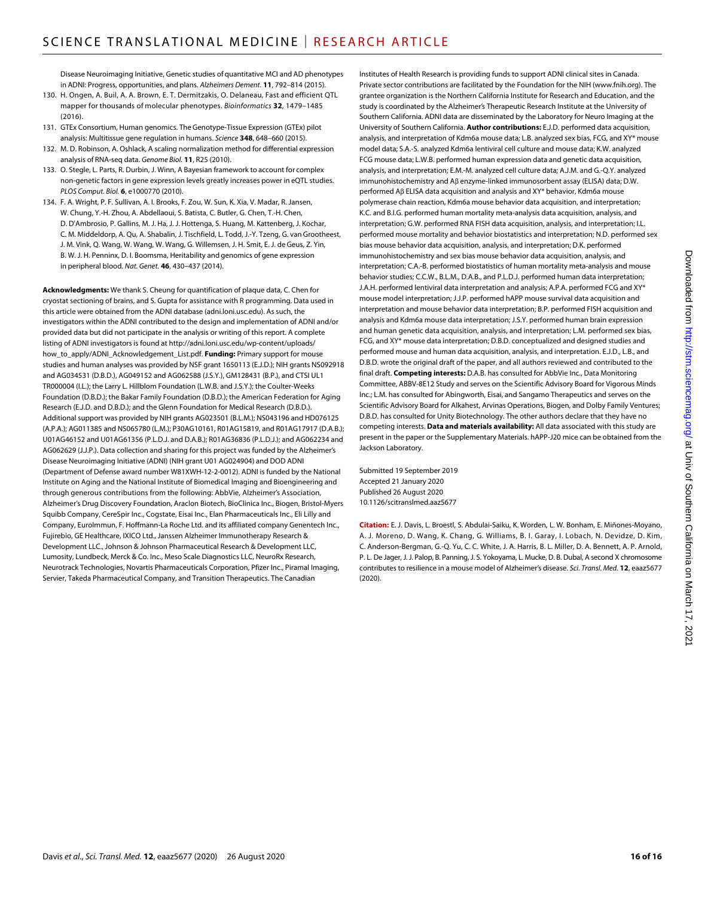Disease Neuroimaging Initiative, Genetic studies of quantitative MCI and AD phenotypes in ADNI: Progress, opportunities, and plans. *Alzheimers Dement.* **11**, 792–814 (2015).

- 130. H. Ongen, A. Buil, A. A. Brown, E. T. Dermitzakis, O. Delaneau, Fast and efficient QTL mapper for thousands of molecular phenotypes. *Bioinformatics* **32**, 1479–1485 (2016).
- 131. GTEx Consortium, Human genomics. The Genotype-Tissue Expression (GTEx) pilot analysis: Multitissue gene regulation in humans. *Science* **348**, 648–660 (2015).
- 132. M. D. Robinson, A. Oshlack, A scaling normalization method for differential expression analysis of RNA-seq data. *Genome Biol.* **11**, R25 (2010).
- 133. O. Stegle, L. Parts, R. Durbin, J. Winn, A Bayesian framework to account for complex non-genetic factors in gene expression levels greatly increases power in eQTL studies. *PLOS Comput. Biol.* **6**, e1000770 (2010).
- 134. F. A. Wright, P. F. Sullivan, A. I. Brooks, F. Zou, W. Sun, K. Xia, V. Madar, R. Jansen, W. Chung, Y.-H. Zhou, A. Abdellaoui, S. Batista, C. Butler, G. Chen, T.-H. Chen, D. D'Ambrosio, P. Gallins, M. J. Ha, J. J. Hottenga, S. Huang, M. Kattenberg, J. Kochar, C. M. Middeldorp, A. Qu, A. Shabalin, J. Tischfield, L. Todd, J.-Y. Tzeng, G. van Grootheest, J. M. Vink, Q. Wang, W. Wang, W. Wang, G. Willemsen, J. H. Smit, E. J. de Geus, Z. Yin, B. W. J. H. Penninx, D. I. Boomsma, Heritability and genomics of gene expression in peripheral blood. *Nat. Genet.* **46**, 430–437 (2014).

**Acknowledgments:** We thank S. Cheung for quantification of plaque data, C. Chen for cryostat sectioning of brains, and S. Gupta for assistance with R programming. Data used in this article were obtained from the ADNI database [\(adni.loni.usc.edu](http://adni.loni.usc.edu)). As such, the investigators within the ADNI contributed to the design and implementation of ADNI and/or provided data but did not participate in the analysis or writing of this report. A complete listing of ADNI investigators is found at [http://adni.loni.usc.edu/wp-content/uploads/](http://adni.loni.usc.edu/wp-content/uploads/how_to_apply/ADNI_Acknowledgement_List.pdf) [how\\_to\\_apply/ADNI\\_Acknowledgement\\_List.pdf.](http://adni.loni.usc.edu/wp-content/uploads/how_to_apply/ADNI_Acknowledgement_List.pdf) **Funding:** Primary support for mouse studies and human analyses was provided by NSF grant 1650113 (E.J.D.); NIH grants NS092918 and AG034531 (D.B.D.), AG049152 and AG062588 (J.S.Y.), GM128431 (B.P.), and CTSI UL1 TR000004 (I.L.); the Larry L. Hillblom Foundation (L.W.B. and J.S.Y.); the Coulter-Weeks Foundation (D.B.D.); the Bakar Family Foundation (D.B.D.); the American Federation for Aging Research (E.J.D. and D.B.D.); and the Glenn Foundation for Medical Research (D.B.D.). Additional support was provided by NIH grants AG023501 (B.L.M.); NS043196 and HD076125 (A.P.A.); AG011385 and NS065780 (L.M.); P30AG10161, R01AG15819, and R01AG17917 (D.A.B.); U01AG46152 and U01AG61356 (P.L.D.J. and D.A.B.); R01AG36836 (P.L.D.J.); and AG062234 and AG062629 (J.J.P.). Data collection and sharing for this project was funded by the Alzheimer's Disease Neuroimaging Initiative (ADNI) (NIH grant U01 AG024904) and DOD ADNI (Department of Defense award number W81XWH-12-2-0012). ADNI is funded by the National Institute on Aging and the National Institute of Biomedical Imaging and Bioengineering and through generous contributions from the following: AbbVie, Alzheimer's Association, Alzheimer's Drug Discovery Foundation, Araclon Biotech, BioClinica Inc., Biogen, Bristol-Myers Squibb Company, CereSpir Inc., Cogstate, Eisai Inc., Elan Pharmaceuticals Inc., Eli Lilly and Company, EuroImmun, F. Hoffmann-La Roche Ltd. and its affiliated company Genentech Inc., Fujirebio, GE Healthcare, IXICO Ltd., Janssen Alzheimer Immunotherapy Research & Development LLC., Johnson & Johnson Pharmaceutical Research & Development LLC, Lumosity, Lundbeck, Merck & Co. Inc., Meso Scale Diagnostics LLC, NeuroRx Research, Neurotrack Technologies, Novartis Pharmaceuticals Corporation, Pfizer Inc., Piramal Imaging, Servier, Takeda Pharmaceutical Company, and Transition Therapeutics. The Canadian

Institutes of Health Research is providing funds to support ADNI clinical sites in Canada. Private sector contributions are facilitated by the Foundation for the NIH [\(www.fnih.org](http://www.fnih.org)). The grantee organization is the Northern California Institute for Research and Education, and the study is coordinated by the Alzheimer's Therapeutic Research Institute at the University of Southern California. ADNI data are disseminated by the Laboratory for Neuro Imaging at the University of Southern California. **Author contributions:** E.J.D. performed data acquisition, analysis, and interpretation of Kdm6a mouse data; L.B. analyzed sex bias, FCG, and XY\* mouse model data; S.A.-S. analyzed Kdm6a lentiviral cell culture and mouse data; K.W. analyzed FCG mouse data; L.W.B. performed human expression data and genetic data acquisition, analysis, and interpretation; E.M.-M. analyzed cell culture data; A.J.M. and G.-Q.Y. analyzed immunohistochemistry and A<sub>B</sub> enzyme-linked immunosorbent assay (ELISA) data; D.W. performed Aβ ELISA data acquisition and analysis and XY\* behavior, Kdm6a mouse polymerase chain reaction, Kdm6a mouse behavior data acquisition, and interpretation; K.C. and B.I.G. performed human mortality meta-analysis data acquisition, analysis, and interpretation; G.W. performed RNA FISH data acquisition, analysis, and interpretation; I.L. performed mouse mortality and behavior biostatistics and interpretation; N.D. performed sex bias mouse behavior data acquisition, analysis, and interpretation; D.K. performed immunohistochemistry and sex bias mouse behavior data acquisition, analysis, and interpretation; C.A.-B. performed biostatistics of human mortality meta-analysis and mouse behavior studies; C.C.W., B.L.M., D.A.B., and P.L.D.J. performed human data interpretation; J.A.H. performed lentiviral data interpretation and analysis; A.P.A. performed FCG and XY\* mouse model interpretation; J.J.P. performed hAPP mouse survival data acquisition and interpretation and mouse behavior data interpretation; B.P. performed FISH acquisition and analysis and Kdm6a mouse data interpretation; J.S.Y. performed human brain expression and human genetic data acquisition, analysis, and interpretation; L.M. performed sex bias, FCG, and XY\* mouse data interpretation; D.B.D. conceptualized and designed studies and performed mouse and human data acquisition, analysis, and interpretation. E.J.D., L.B., and D.B.D. wrote the original draft of the paper, and all authors reviewed and contributed to the final draft. **Competing interests:** D.A.B. has consulted for AbbVie Inc., Data Monitoring Committee, ABBV-8E12 Study and serves on the Scientific Advisory Board for Vigorous Minds Inc.; L.M. has consulted for Abingworth, Eisai, and Sangamo Therapeutics and serves on the Scientific Advisory Board for Alkahest, Arvinas Operations, Biogen, and Dolby Family Ventures; D.B.D. has consulted for Unity Biotechnology. The other authors declare that they have no competing interests. **Data and materials availability:** All data associated with this study are present in the paper or the Supplementary Materials. hAPP-J20 mice can be obtained from the Jackson Laboratory.

Submitted 19 September 2019 Accepted 21 January 2020 Published 26 August 2020 10.1126/scitranslmed.aaz5677

**Citation:** E. J. Davis, L. Broestl, S. Abdulai-Saiku, K. Worden, L. W. Bonham, E. Miñones-Moyano, A. J. Moreno, D. Wang, K. Chang, G. Williams, B. I. Garay, I. Lobach, N. Devidze, D. Kim, C. Anderson-Bergman, G.-Q. Yu, C. C. White, J. A. Harris, B. L. Miller, D. A. Bennett, A. P. Arnold, P. L. De Jager, J.J. Palop, B. Panning, J. S. Yokoyama, L. Mucke, D. B. Dubal, A second X chromosome contributes to resilience in a mouse model of Alzheimer's disease. *Sci. Transl. Med.* **12**, eaaz5677 (2020).